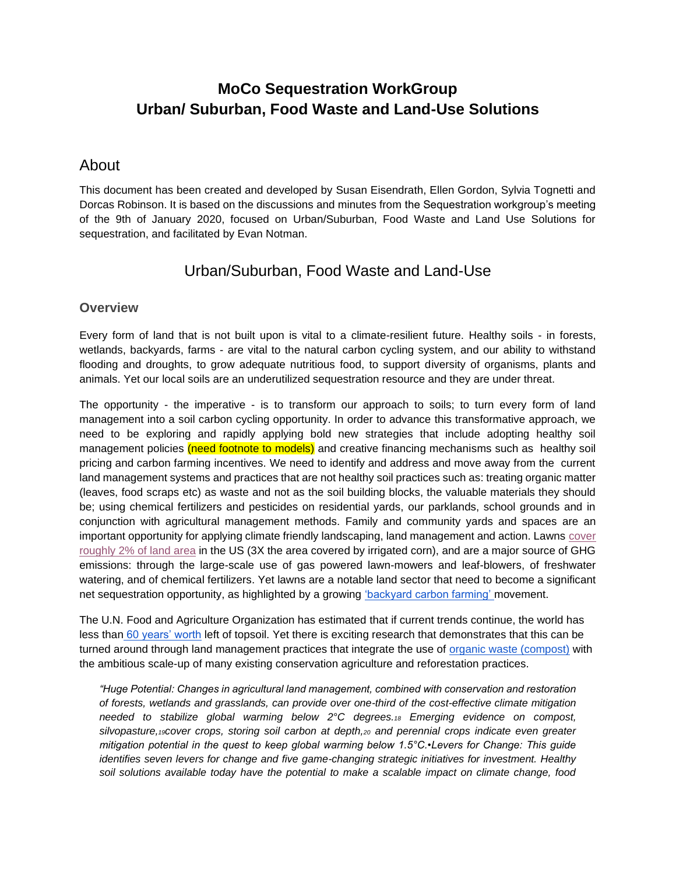# **MoCo Sequestration WorkGroup Urban/ Suburban, Food Waste and Land-Use Solutions**

### About

This document has been created and developed by Susan Eisendrath, Ellen Gordon, Sylvia Tognetti and Dorcas Robinson. It is based on the discussions and minutes from the Sequestration workgroup's meeting of the 9th of January 2020, focused on Urban/Suburban, Food Waste and Land Use Solutions for sequestration, and facilitated by Evan Notman.

### Urban/Suburban, Food Waste and Land-Use

### **Overview**

Every form of land that is not built upon is vital to a climate-resilient future. Healthy soils - in forests, wetlands, backyards, farms - are vital to the natural carbon cycling system, and our ability to withstand flooding and droughts, to grow adequate nutritious food, to support diversity of organisms, plants and animals. Yet our local soils are an underutilized sequestration resource and they are under threat.

The opportunity - the imperative - is to transform our approach to soils; to turn every form of land management into a soil carbon cycling opportunity. In order to advance this transformative approach, we need to be exploring and rapidly applying bold new strategies that include adopting healthy soil management policies (need footnote to models) and creative financing mechanisms such as healthy soil pricing and carbon farming incentives. We need to identify and address and move away from the current land management systems and practices that are not healthy soil practices such as: treating organic matter (leaves, food scraps etc) as waste and not as the soil building blocks, the valuable materials they should be; using chemical fertilizers and pesticides on residential yards, our parklands, school grounds and in conjunction with agricultural management methods. Family and community yards and spaces are an important opportunity for applying climate friendly landscaping, land management and action. Lawns [cover](https://www.curbed.com/2019/5/1/18524512/landscaping-gardening-lawns-front-yards)  [roughly 2% of land area](https://www.curbed.com/2019/5/1/18524512/landscaping-gardening-lawns-front-yards) in the US (3X the area covered by irrigated corn), and are a major source of GHG emissions: through the large-scale use of gas powered lawn-mowers and leaf-blowers, of freshwater watering, and of chemical fertilizers. Yet lawns are a notable land sector that need to become a significant net sequestration opportunity, as highlighted by a growing ['backyard carbon farming' m](http://projectgrounded.com/blog/carbon-gardening/)ovement.

The U.N. Food and Agriculture Organization has estimated that if current trends continue, the world has less than [60 years' worth](http://www.fao.org/soils-2015/events/detail/en/c/338738/) left of topsoil. Yet there is exciting research that demonstrates that this can be turned around through land management practices that integrate the use of [organic waste \(compost\)](https://civileats.com/2019/09/17/is-compost-the-secret-to-making-ag-climate-friendly/) with the ambitious scale-up of many existing conservation agriculture and reforestation practices.

*"Huge Potential: Changes in agricultural land management, combined with conservation and restoration of forests, wetlands and grasslands, can provide over one-third of the cost-effective climate mitigation needed to stabilize global warming below 2°C degrees.<sup>18</sup> Emerging evidence on compost, silvopasture,19cover crops, storing soil carbon at depth,<sup>20</sup> and perennial crops indicate even greater mitigation potential in the quest to keep global warming below 1.5°C.•Levers for Change: This guide identifies seven levers for change and five game-changing strategic initiatives for investment. Healthy soil solutions available today have the potential to make a scalable impact on climate change, food*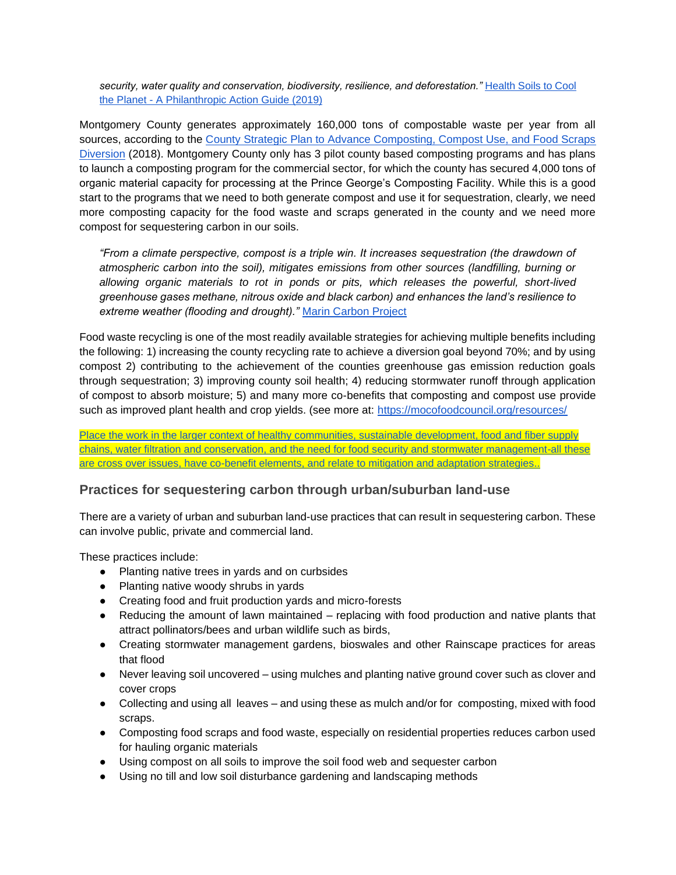security, water quality and conservation, biodiversity, resilience, and deforestation." Health Soils to Cool the Planet - [A Philanthropic Action Guide \(2019\)](https://www.breakthroughstrategiesandsolutions.com/soilguide)

Montgomery County generates approximately 160,000 tons of compostable waste per year from all sources, according to the [County Strategic Plan to Advance Composting, Compost Use, and Food Scraps](https://www.montgomerycountymd.gov/SWS/Resources/Files/foodwaste/Strategic%20Plan%20to%20Advance%20Composting,%20Compost%20Use,%20and%20Food%20Scraps%20Diversion%20in%20Montgomery%20County,%20MD.pdf)  [Diversion](https://www.montgomerycountymd.gov/SWS/Resources/Files/foodwaste/Strategic%20Plan%20to%20Advance%20Composting,%20Compost%20Use,%20and%20Food%20Scraps%20Diversion%20in%20Montgomery%20County,%20MD.pdf) (2018). Montgomery County only has 3 pilot county based composting programs and has plans to launch a composting program for the commercial sector, for which the county has secured 4,000 tons of organic material capacity for processing at the Prince George's Composting Facility. While this is a good start to the programs that we need to both generate compost and use it for sequestration, clearly, we need more composting capacity for the food waste and scraps generated in the county and we need more compost for sequestering carbon in our soils.

*"From a climate perspective, compost is a triple win. It increases sequestration (the drawdown of atmospheric carbon into the soil), mitigates emissions from other sources (landfilling, burning or allowing organic materials to rot in ponds or pits, which releases the powerful, short-lived greenhouse gases methane, nitrous oxide and black carbon) and enhances the land's resilience to extreme weather (flooding and drought)."* [Marin Carbon Project](https://www.marincarbonproject.org/compost)

Food waste recycling is one of the most readily available strategies for achieving multiple benefits including the following: 1) increasing the county recycling rate to achieve a diversion goal beyond 70%; and by using compost 2) contributing to the achievement of the counties greenhouse gas emission reduction goals through sequestration; 3) improving county soil health; 4) reducing stormwater runoff through application of compost to absorb moisture; 5) and many more co-benefits that composting and compost use provide such as improved plant health and crop yields. (see more at:<https://mocofoodcouncil.org/resources/>

Place the work in the larger context of healthy communities, sustainable development, food and fiber supply chains, water filtration and conservation, and the need for food security and stormwater management-all these are cross over issues, have co-benefit elements, and relate to mitigation and adaptation strategies..

#### **Practices for sequestering carbon through urban/suburban land-use**

There are a variety of urban and suburban land-use practices that can result in sequestering carbon. These can involve public, private and commercial land.

These practices include:

- Planting native trees in yards and on curbsides
- Planting native woody shrubs in yards
- Creating food and fruit production yards and micro-forests
- Reducing the amount of lawn maintained replacing with food production and native plants that attract pollinators/bees and urban wildlife such as birds,
- Creating stormwater management gardens, bioswales and other Rainscape practices for areas that flood
- Never leaving soil uncovered using mulches and planting native ground cover such as clover and cover crops
- Collecting and using all leaves and using these as mulch and/or for composting, mixed with food scraps.
- Composting food scraps and food waste, especially on residential properties reduces carbon used for hauling organic materials
- Using compost on all soils to improve the soil food web and sequester carbon
- Using no till and low soil disturbance gardening and landscaping methods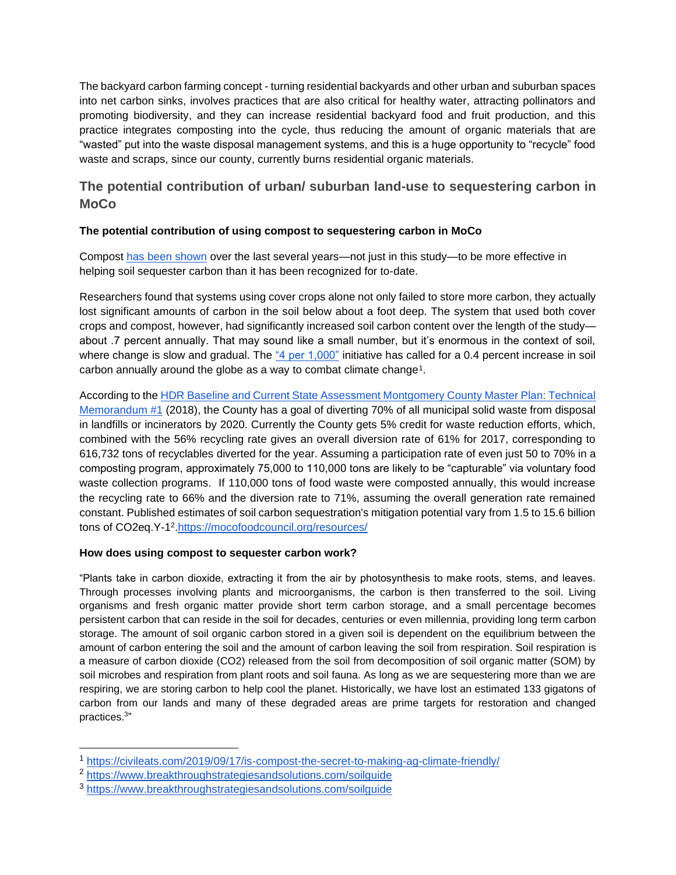The backyard carbon farming concept - turning residential backyards and other urban and suburban spaces into net carbon sinks, involves practices that are also critical for healthy water, attracting pollinators and promoting biodiversity, and they can increase residential backyard food and fruit production, and this practice integrates composting into the cycle, thus reducing the amount of organic materials that are "wasted" put into the waste disposal management systems, and this is a huge opportunity to "recycle" food waste and scraps, since our county, currently burns residential organic materials.

### **The potential contribution of urban/ suburban land-use to sequestering carbon in MoCo**

#### **The potential contribution of using compost to sequestering carbon in MoCo**

Compost [has been shown](https://esajournals.onlinelibrary.wiley.com/doi/abs/10.1890/13-2126.1) over the last several years—not just in this study—to be more effective in helping soil sequester carbon than it has been recognized for to-date.

Researchers found that systems using cover crops alone not only failed to store more carbon, they actually lost significant amounts of carbon in the soil below about a foot deep. The system that used both cover crops and compost, however, had significantly increased soil carbon content over the length of the study about .7 percent annually. That may sound like a small number, but it's enormous in the context of soil, where change is slow and gradual. The ["4 per 1,000"](https://www.4p1000.org/) initiative has called for a 0.4 percent increase in soil carbon annually around the globe as a way to combat climate change<sup>1</sup>.

According to th[e HDR Baseline and Current State Assessment Montgomery County Master Plan: Technical](https://montgomerycountymd.gov/SWS/Resources/Files/master-plan/aiming-for-zero-waste-current-assessment-report-one.pdf)  [Memorandum #1](https://montgomerycountymd.gov/SWS/Resources/Files/master-plan/aiming-for-zero-waste-current-assessment-report-one.pdf) (2018), the County has a goal of diverting 70% of all municipal solid waste from disposal in landfills or incinerators by 2020. Currently the County gets 5% credit for waste reduction efforts, which, combined with the 56% recycling rate gives an overall diversion rate of 61% for 2017, corresponding to 616,732 tons of recyclables diverted for the year. Assuming a participation rate of even just 50 to 70% in a composting program, approximately 75,000 to 110,000 tons are likely to be "capturable" via voluntary food waste collection programs. If 110,000 tons of food waste were composted annually, this would increase the recycling rate to 66% and the diversion rate to 71%, assuming the overall generation rate remained constant. Published estimates of soil carbon sequestration's mitigation potential vary from 1.5 to 15.6 billion tons of CO2eq.Y-1<sup>2</sup>.<u>https://mocofoodcouncil.org/resources/</u>

#### **How does using compost to sequester carbon work?**

"Plants take in carbon dioxide, extracting it from the air by photosynthesis to make roots, stems, and leaves. Through processes involving plants and microorganisms, the carbon is then transferred to the soil. Living organisms and fresh organic matter provide short term carbon storage, and a small percentage becomes persistent carbon that can reside in the soil for decades, centuries or even millennia, providing long term carbon storage. The amount of soil organic carbon stored in a given soil is dependent on the equilibrium between the amount of carbon entering the soil and the amount of carbon leaving the soil from respiration. Soil respiration is a measure of carbon dioxide (CO2) released from the soil from decomposition of soil organic matter (SOM) by soil microbes and respiration from plant roots and soil fauna. As long as we are sequestering more than we are respiring, we are storing carbon to help cool the planet. Historically, we have lost an estimated 133 gigatons of carbon from our lands and many of these degraded areas are prime targets for restoration and changed practices.<sup>3</sup>"

<sup>1</sup> <https://civileats.com/2019/09/17/is-compost-the-secret-to-making-ag-climate-friendly/>

<sup>2</sup> <https://www.breakthroughstrategiesandsolutions.com/soilguide>

<sup>3</sup> <https://www.breakthroughstrategiesandsolutions.com/soilguide>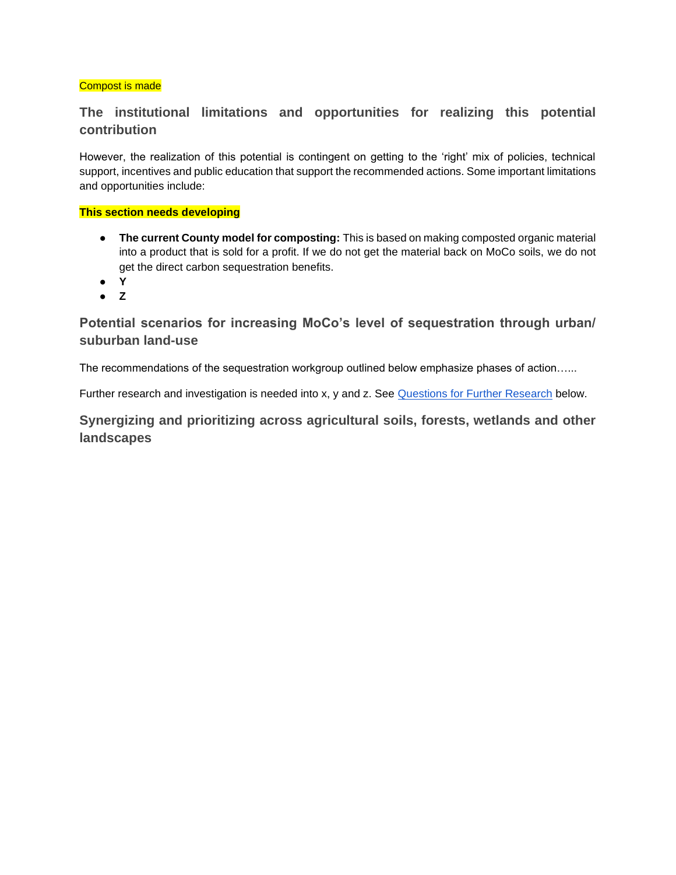#### Compost is made

### **The institutional limitations and opportunities for realizing this potential contribution**

However, the realization of this potential is contingent on getting to the 'right' mix of policies, technical support, incentives and public education that support the recommended actions. Some important limitations and opportunities include:

#### **This section needs developing**

- **The current County model for composting:** This is based on making composted organic material into a product that is sold for a profit. If we do not get the material back on MoCo soils, we do not get the direct carbon sequestration benefits.
- **Y**
- **Z**

### **Potential scenarios for increasing MoCo's level of sequestration through urban/ suburban land-use**

The recommendations of the sequestration workgroup outlined below emphasize phases of action…...

Further research and investigation is needed into x, y and z. See [Questions for Further Research](#page-24-0) below.

**Synergizing and prioritizing across agricultural soils, forests, wetlands and other landscapes**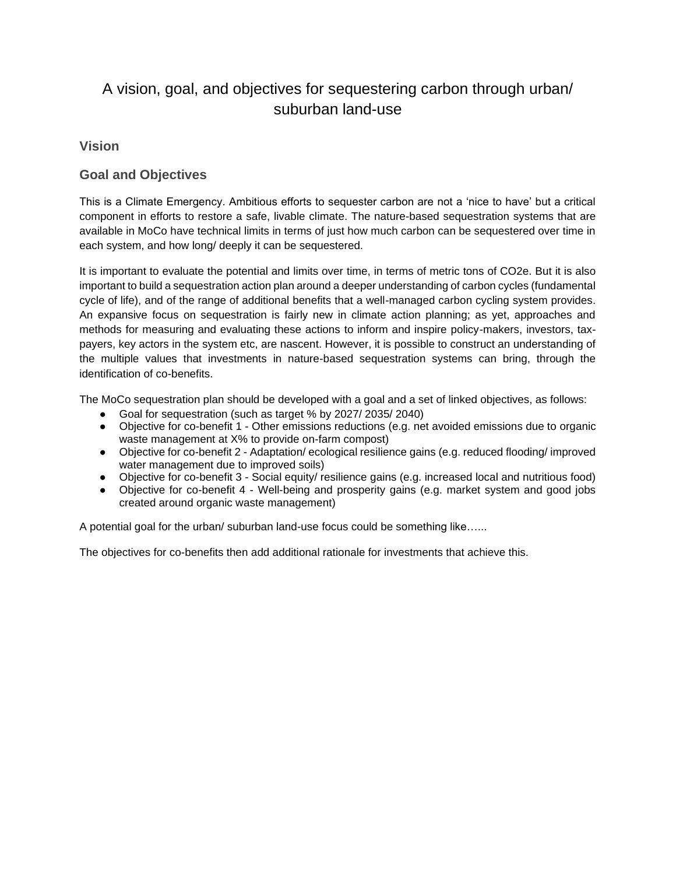## A vision, goal, and objectives for sequestering carbon through urban/ suburban land-use

### **Vision**

### **Goal and Objectives**

This is a Climate Emergency. Ambitious efforts to sequester carbon are not a 'nice to have' but a critical component in efforts to restore a safe, livable climate. The nature-based sequestration systems that are available in MoCo have technical limits in terms of just how much carbon can be sequestered over time in each system, and how long/ deeply it can be sequestered.

It is important to evaluate the potential and limits over time, in terms of metric tons of CO2e. But it is also important to build a sequestration action plan around a deeper understanding of carbon cycles (fundamental cycle of life), and of the range of additional benefits that a well-managed carbon cycling system provides. An expansive focus on sequestration is fairly new in climate action planning; as yet, approaches and methods for measuring and evaluating these actions to inform and inspire policy-makers, investors, taxpayers, key actors in the system etc, are nascent. However, it is possible to construct an understanding of the multiple values that investments in nature-based sequestration systems can bring, through the identification of co-benefits.

The MoCo sequestration plan should be developed with a goal and a set of linked objectives, as follows:

- Goal for sequestration (such as target % by 2027/ 2035/ 2040)
- Objective for co-benefit 1 Other emissions reductions (e.g. net avoided emissions due to organic waste management at X% to provide on-farm compost)
- Objective for co-benefit 2 Adaptation/ ecological resilience gains (e.g. reduced flooding/ improved water management due to improved soils)
- Objective for co-benefit 3 Social equity/ resilience gains (e.g. increased local and nutritious food)
- Objective for co-benefit 4 Well-being and prosperity gains (e.g. market system and good jobs created around organic waste management)

A potential goal for the urban/ suburban land-use focus could be something like…...

The objectives for co-benefits then add additional rationale for investments that achieve this.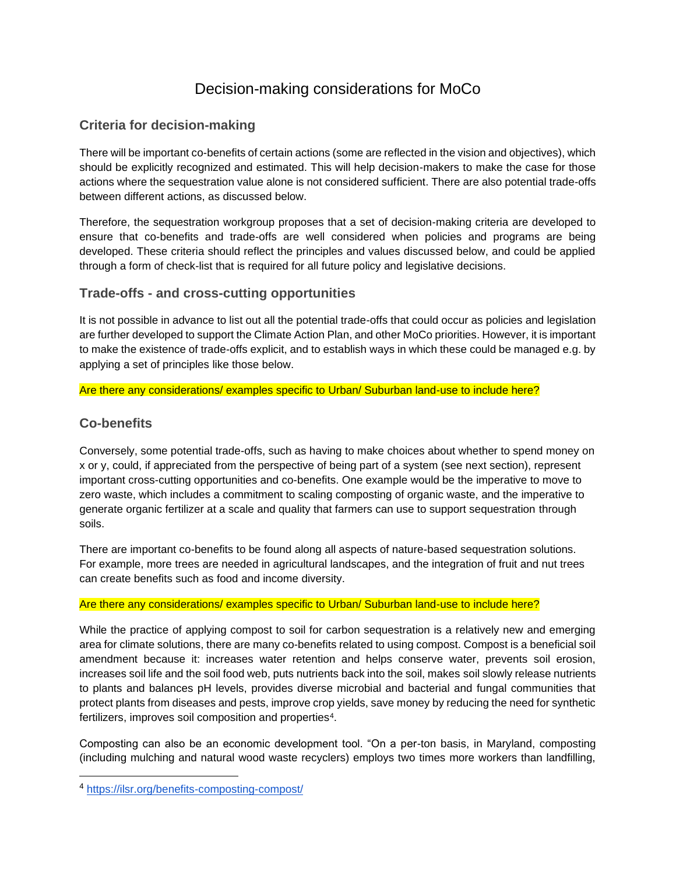## Decision-making considerations for MoCo

### **Criteria for decision-making**

There will be important co-benefits of certain actions (some are reflected in the vision and objectives), which should be explicitly recognized and estimated. This will help decision-makers to make the case for those actions where the sequestration value alone is not considered sufficient. There are also potential trade-offs between different actions, as discussed below.

Therefore, the sequestration workgroup proposes that a set of decision-making criteria are developed to ensure that co-benefits and trade-offs are well considered when policies and programs are being developed. These criteria should reflect the principles and values discussed below, and could be applied through a form of check-list that is required for all future policy and legislative decisions.

### **Trade-offs - and cross-cutting opportunities**

It is not possible in advance to list out all the potential trade-offs that could occur as policies and legislation are further developed to support the Climate Action Plan, and other MoCo priorities. However, it is important to make the existence of trade-offs explicit, and to establish ways in which these could be managed e.g. by applying a set of principles like those below.

Are there any considerations/ examples specific to Urban/ Suburban land-use to include here?

### **Co-benefits**

Conversely, some potential trade-offs, such as having to make choices about whether to spend money on x or y, could, if appreciated from the perspective of being part of a system (see next section), represent important cross-cutting opportunities and co-benefits. One example would be the imperative to move to zero waste, which includes a commitment to scaling composting of organic waste, and the imperative to generate organic fertilizer at a scale and quality that farmers can use to support sequestration through soils.

There are important co-benefits to be found along all aspects of nature-based sequestration solutions. For example, more trees are needed in agricultural landscapes, and the integration of fruit and nut trees can create benefits such as food and income diversity.

#### Are there any considerations/ examples specific to Urban/ Suburban land-use to include here?

While the practice of applying compost to soil for carbon sequestration is a relatively new and emerging area for climate solutions, there are many co-benefits related to using compost. Compost is a beneficial soil amendment because it: increases water retention and helps conserve water, prevents soil erosion, increases soil life and the soil food web, puts nutrients back into the soil, makes soil slowly release nutrients to plants and balances pH levels, provides diverse microbial and bacterial and fungal communities that protect plants from diseases and pests, improve crop yields, save money by reducing the need for synthetic fertilizers, improves soil composition and properties<sup>4</sup>.

Composting can also be an economic development tool. "On a per-ton basis, in Maryland, composting (including mulching and natural wood waste recyclers) employs two times more workers than landfilling,

<sup>4</sup> <https://ilsr.org/benefits-composting-compost/>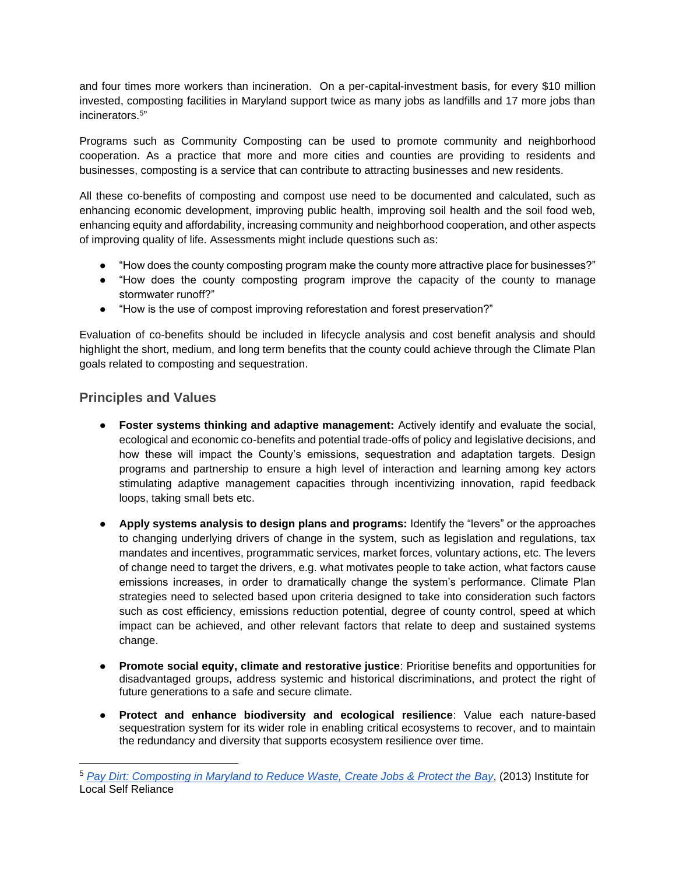and four times more workers than incineration. On a per-capital-investment basis, for every \$10 million invested, composting facilities in Maryland support twice as many jobs as landfills and 17 more jobs than incinerators.<sup>5</sup> "

Programs such as Community Composting can be used to promote community and neighborhood cooperation. As a practice that more and more cities and counties are providing to residents and businesses, composting is a service that can contribute to attracting businesses and new residents.

All these co-benefits of composting and compost use need to be documented and calculated, such as enhancing economic development, improving public health, improving soil health and the soil food web, enhancing equity and affordability, increasing community and neighborhood cooperation, and other aspects of improving quality of life. Assessments might include questions such as:

- "How does the county composting program make the county more attractive place for businesses?"
- "How does the county composting program improve the capacity of the county to manage stormwater runoff?"
- "How is the use of compost improving reforestation and forest preservation?"

Evaluation of co-benefits should be included in lifecycle analysis and cost benefit analysis and should highlight the short, medium, and long term benefits that the county could achieve through the Climate Plan goals related to composting and sequestration.

#### **Principles and Values**

- **Foster systems thinking and adaptive management:** Actively identify and evaluate the social, ecological and economic co-benefits and potential trade-offs of policy and legislative decisions, and how these will impact the County's emissions, sequestration and adaptation targets. Design programs and partnership to ensure a high level of interaction and learning among key actors stimulating adaptive management capacities through incentivizing innovation, rapid feedback loops, taking small bets etc.
- **Apply systems analysis to design plans and programs:** Identify the "levers" or the approaches to changing underlying drivers of change in the system, such as legislation and regulations, tax mandates and incentives, programmatic services, market forces, voluntary actions, etc. The levers of change need to target the drivers, e.g. what motivates people to take action, what factors cause emissions increases, in order to dramatically change the system's performance. Climate Plan strategies need to selected based upon criteria designed to take into consideration such factors such as cost efficiency, emissions reduction potential, degree of county control, speed at which impact can be achieved, and other relevant factors that relate to deep and sustained systems change.
- **Promote social equity, climate and restorative justice**: Prioritise benefits and opportunities for disadvantaged groups, address systemic and historical discriminations, and protect the right of future generations to a safe and secure climate.
- **Protect and enhance biodiversity and ecological resilience**: Value each nature-based sequestration system for its wider role in enabling critical ecosystems to recover, and to maintain the redundancy and diversity that supports ecosystem resilience over time.

<sup>5</sup> *[Pay Dirt: Composting in Maryland to Reduce Waste, Create Jobs & Protect the Bay](https://ilsr.org/composting-sense-tables/)*, (2013) Institute for Local Self Reliance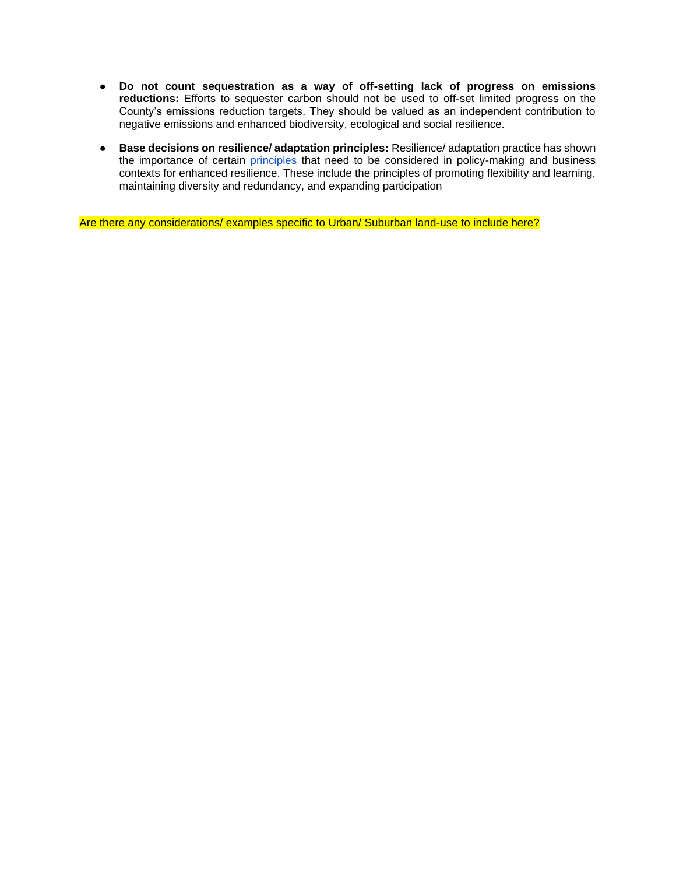- **Do not count sequestration as a way of off-setting lack of progress on emissions reductions:** Efforts to sequester carbon should not be used to off-set limited progress on the County's emissions reduction targets. They should be valued as an independent contribution to negative emissions and enhanced biodiversity, ecological and social resilience.
- **Base decisions on resilience/ adaptation principles:** Resilience/ adaptation practice has shown the importance of certain [principles](https://www.stockholmresilience.org/research/research-news/2015-04-08-seven-principles-for-building-resilience.html) that need to be considered in policy-making and business contexts for enhanced resilience. These include the principles of promoting flexibility and learning, maintaining diversity and redundancy, and expanding participation

Are there any considerations/ examples specific to Urban/ Suburban land-use to include here?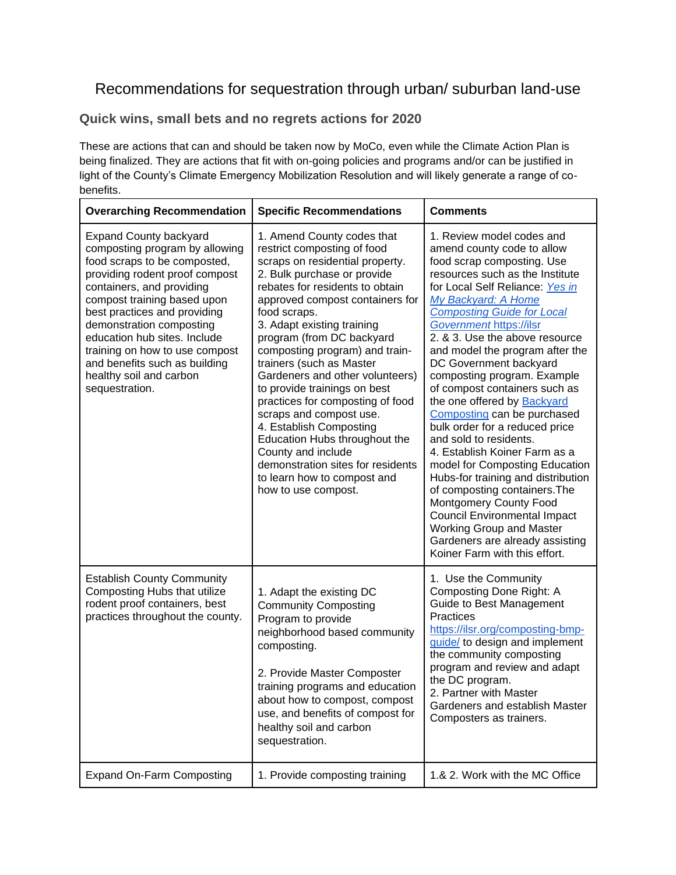## Recommendations for sequestration through urban/ suburban land-use

### **Quick wins, small bets and no regrets actions for 2020**

These are actions that can and should be taken now by MoCo, even while the Climate Action Plan is being finalized. They are actions that fit with on-going policies and programs and/or can be justified in light of the County's Climate Emergency Mobilization Resolution and will likely generate a range of cobenefits.

| <b>Overarching Recommendation</b>                                                                                                                                                                                                                                                                                                                                                                         | <b>Specific Recommendations</b>                                                                                                                                                                                                                                                                                                                                                                                                                                                                                                                                                                                                                           | <b>Comments</b>                                                                                                                                                                                                                                                                                                                                                                                                                                                                                                                                                                                                                                                                                                                                                                                                                                                      |
|-----------------------------------------------------------------------------------------------------------------------------------------------------------------------------------------------------------------------------------------------------------------------------------------------------------------------------------------------------------------------------------------------------------|-----------------------------------------------------------------------------------------------------------------------------------------------------------------------------------------------------------------------------------------------------------------------------------------------------------------------------------------------------------------------------------------------------------------------------------------------------------------------------------------------------------------------------------------------------------------------------------------------------------------------------------------------------------|----------------------------------------------------------------------------------------------------------------------------------------------------------------------------------------------------------------------------------------------------------------------------------------------------------------------------------------------------------------------------------------------------------------------------------------------------------------------------------------------------------------------------------------------------------------------------------------------------------------------------------------------------------------------------------------------------------------------------------------------------------------------------------------------------------------------------------------------------------------------|
| <b>Expand County backyard</b><br>composting program by allowing<br>food scraps to be composted,<br>providing rodent proof compost<br>containers, and providing<br>compost training based upon<br>best practices and providing<br>demonstration composting<br>education hub sites. Include<br>training on how to use compost<br>and benefits such as building<br>healthy soil and carbon<br>sequestration. | 1. Amend County codes that<br>restrict composting of food<br>scraps on residential property.<br>2. Bulk purchase or provide<br>rebates for residents to obtain<br>approved compost containers for<br>food scraps.<br>3. Adapt existing training<br>program (from DC backyard<br>composting program) and train-<br>trainers (such as Master<br>Gardeners and other volunteers)<br>to provide trainings on best<br>practices for composting of food<br>scraps and compost use.<br>4. Establish Composting<br>Education Hubs throughout the<br>County and include<br>demonstration sites for residents<br>to learn how to compost and<br>how to use compost. | 1. Review model codes and<br>amend county code to allow<br>food scrap composting. Use<br>resources such as the Institute<br>for Local Self Reliance: Yes in<br><b>My Backyard: A Home</b><br><b>Composting Guide for Local</b><br>Government https://ilsr<br>2. & 3. Use the above resource<br>and model the program after the<br>DC Government backyard<br>composting program. Example<br>of compost containers such as<br>the one offered by Backyard<br>Composting can be purchased<br>bulk order for a reduced price<br>and sold to residents.<br>4. Establish Koiner Farm as a<br>model for Composting Education<br>Hubs-for training and distribution<br>of composting containers. The<br>Montgomery County Food<br><b>Council Environmental Impact</b><br><b>Working Group and Master</b><br>Gardeners are already assisting<br>Koiner Farm with this effort. |
| <b>Establish County Community</b><br>Composting Hubs that utilize<br>rodent proof containers, best<br>practices throughout the county.                                                                                                                                                                                                                                                                    | 1. Adapt the existing DC<br><b>Community Composting</b><br>Program to provide<br>neighborhood based community<br>composting.<br>2. Provide Master Composter<br>training programs and education<br>about how to compost, compost<br>use, and benefits of compost for<br>healthy soil and carbon<br>sequestration.                                                                                                                                                                                                                                                                                                                                          | 1. Use the Community<br>Composting Done Right: A<br>Guide to Best Management<br>Practices<br>https://ilsr.org/composting-bmp-<br>guide/ to design and implement<br>the community composting<br>program and review and adapt<br>the DC program.<br>2. Partner with Master<br>Gardeners and establish Master<br>Composters as trainers.                                                                                                                                                                                                                                                                                                                                                                                                                                                                                                                                |
| <b>Expand On-Farm Composting</b>                                                                                                                                                                                                                                                                                                                                                                          | 1. Provide composting training                                                                                                                                                                                                                                                                                                                                                                                                                                                                                                                                                                                                                            | 1.& 2. Work with the MC Office                                                                                                                                                                                                                                                                                                                                                                                                                                                                                                                                                                                                                                                                                                                                                                                                                                       |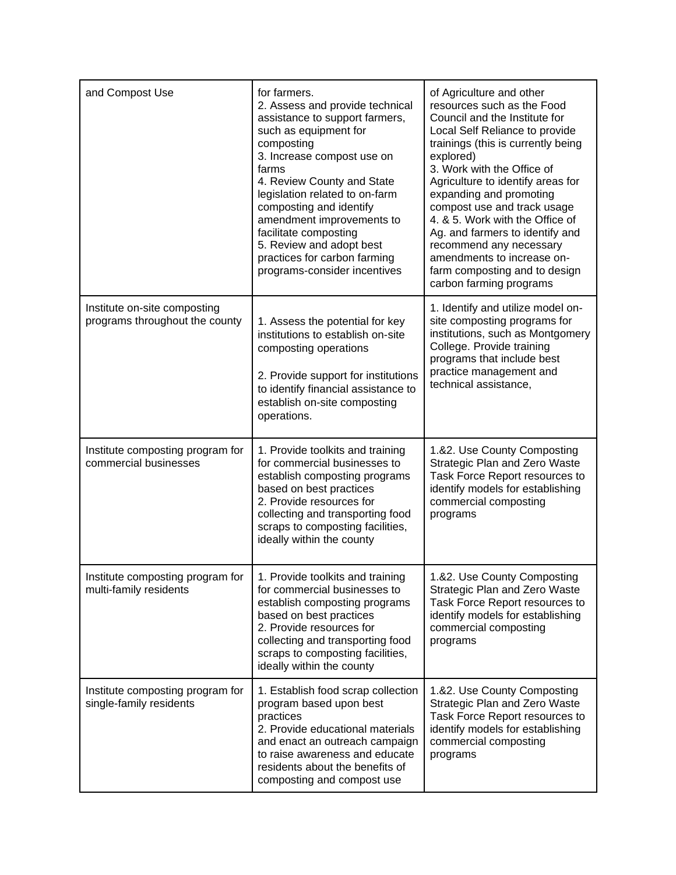| and Compost Use                                                | for farmers.<br>2. Assess and provide technical<br>assistance to support farmers,<br>such as equipment for<br>composting<br>3. Increase compost use on<br>farms<br>4. Review County and State<br>legislation related to on-farm<br>composting and identify<br>amendment improvements to<br>facilitate composting<br>5. Review and adopt best<br>practices for carbon farming<br>programs-consider incentives | of Agriculture and other<br>resources such as the Food<br>Council and the Institute for<br>Local Self Reliance to provide<br>trainings (this is currently being<br>explored)<br>3. Work with the Office of<br>Agriculture to identify areas for<br>expanding and promoting<br>compost use and track usage<br>4. & 5. Work with the Office of<br>Ag. and farmers to identify and<br>recommend any necessary<br>amendments to increase on-<br>farm composting and to design<br>carbon farming programs |
|----------------------------------------------------------------|--------------------------------------------------------------------------------------------------------------------------------------------------------------------------------------------------------------------------------------------------------------------------------------------------------------------------------------------------------------------------------------------------------------|------------------------------------------------------------------------------------------------------------------------------------------------------------------------------------------------------------------------------------------------------------------------------------------------------------------------------------------------------------------------------------------------------------------------------------------------------------------------------------------------------|
| Institute on-site composting<br>programs throughout the county | 1. Assess the potential for key<br>institutions to establish on-site<br>composting operations<br>2. Provide support for institutions<br>to identify financial assistance to<br>establish on-site composting<br>operations.                                                                                                                                                                                   | 1. Identify and utilize model on-<br>site composting programs for<br>institutions, such as Montgomery<br>College. Provide training<br>programs that include best<br>practice management and<br>technical assistance,                                                                                                                                                                                                                                                                                 |
| Institute composting program for<br>commercial businesses      | 1. Provide toolkits and training<br>for commercial businesses to<br>establish composting programs<br>based on best practices<br>2. Provide resources for<br>collecting and transporting food<br>scraps to composting facilities,<br>ideally within the county                                                                                                                                                | 1.&2. Use County Composting<br>Strategic Plan and Zero Waste<br>Task Force Report resources to<br>identify models for establishing<br>commercial composting<br>programs                                                                                                                                                                                                                                                                                                                              |
| Institute composting program for<br>multi-family residents     | 1. Provide toolkits and training<br>for commercial businesses to<br>establish composting programs<br>based on best practices<br>2. Provide resources for<br>collecting and transporting food<br>scraps to composting facilities,<br>ideally within the county                                                                                                                                                | 1.&2. Use County Composting<br>Strategic Plan and Zero Waste<br>Task Force Report resources to<br>identify models for establishing<br>commercial composting<br>programs                                                                                                                                                                                                                                                                                                                              |
| Institute composting program for<br>single-family residents    | 1. Establish food scrap collection<br>program based upon best<br>practices<br>2. Provide educational materials<br>and enact an outreach campaign<br>to raise awareness and educate<br>residents about the benefits of<br>composting and compost use                                                                                                                                                          | 1.&2. Use County Composting<br>Strategic Plan and Zero Waste<br>Task Force Report resources to<br>identify models for establishing<br>commercial composting<br>programs                                                                                                                                                                                                                                                                                                                              |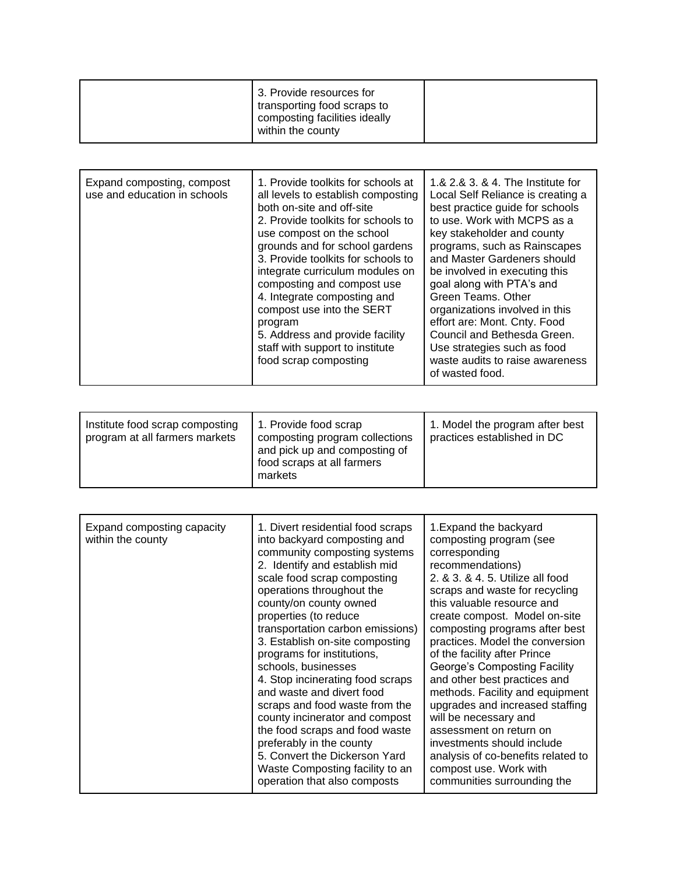| Expand composting, compost<br>use and education in schools | 1. Provide toolkits for schools at<br>all levels to establish composting<br>both on-site and off-site<br>2. Provide toolkits for schools to<br>use compost on the school<br>grounds and for school gardens<br>3. Provide toolkits for schools to<br>integrate curriculum modules on<br>composting and compost use<br>4. Integrate composting and<br>compost use into the SERT<br>program<br>5. Address and provide facility<br>staff with support to institute<br>food scrap composting | 1.& 2.& 3. & 4. The Institute for<br>Local Self Reliance is creating a<br>best practice guide for schools<br>to use. Work with MCPS as a<br>key stakeholder and county<br>programs, such as Rainscapes<br>and Master Gardeners should<br>be involved in executing this<br>goal along with PTA's and<br>Green Teams, Other<br>organizations involved in this<br>effort are: Mont. Cnty. Food<br>Council and Bethesda Green.<br>Use strategies such as food<br>waste audits to raise awareness<br>of wasted food. |
|------------------------------------------------------------|-----------------------------------------------------------------------------------------------------------------------------------------------------------------------------------------------------------------------------------------------------------------------------------------------------------------------------------------------------------------------------------------------------------------------------------------------------------------------------------------|-----------------------------------------------------------------------------------------------------------------------------------------------------------------------------------------------------------------------------------------------------------------------------------------------------------------------------------------------------------------------------------------------------------------------------------------------------------------------------------------------------------------|
|------------------------------------------------------------|-----------------------------------------------------------------------------------------------------------------------------------------------------------------------------------------------------------------------------------------------------------------------------------------------------------------------------------------------------------------------------------------------------------------------------------------------------------------------------------------|-----------------------------------------------------------------------------------------------------------------------------------------------------------------------------------------------------------------------------------------------------------------------------------------------------------------------------------------------------------------------------------------------------------------------------------------------------------------------------------------------------------------|

| Institute food scrap composting<br>program at all farmers markets | 1. Provide food scrap<br>composting program collections<br>and pick up and composting of<br>food scraps at all farmers<br>markets | 1. Model the program after best<br>practices established in DC |
|-------------------------------------------------------------------|-----------------------------------------------------------------------------------------------------------------------------------|----------------------------------------------------------------|
|-------------------------------------------------------------------|-----------------------------------------------------------------------------------------------------------------------------------|----------------------------------------------------------------|

| Expand composting capacity<br>within the county | 1. Divert residential food scraps<br>into backyard composting and<br>community composting systems<br>2. Identify and establish mid<br>scale food scrap composting<br>operations throughout the<br>county/on county owned<br>properties (to reduce<br>transportation carbon emissions)<br>3. Establish on-site composting<br>programs for institutions,<br>schools, businesses<br>4. Stop incinerating food scraps<br>and waste and divert food<br>scraps and food waste from the<br>county incinerator and compost<br>the food scraps and food waste<br>preferably in the county<br>5. Convert the Dickerson Yard<br>Waste Composting facility to an | 1. Expand the backyard<br>composting program (see<br>corresponding<br>recommendations)<br>2. & 3. & 4. 5. Utilize all food<br>scraps and waste for recycling<br>this valuable resource and<br>create compost. Model on-site<br>composting programs after best<br>practices. Model the conversion<br>of the facility after Prince<br>George's Composting Facility<br>and other best practices and<br>methods. Facility and equipment<br>upgrades and increased staffing<br>will be necessary and<br>assessment on return on<br>investments should include<br>analysis of co-benefits related to<br>compost use. Work with |
|-------------------------------------------------|------------------------------------------------------------------------------------------------------------------------------------------------------------------------------------------------------------------------------------------------------------------------------------------------------------------------------------------------------------------------------------------------------------------------------------------------------------------------------------------------------------------------------------------------------------------------------------------------------------------------------------------------------|--------------------------------------------------------------------------------------------------------------------------------------------------------------------------------------------------------------------------------------------------------------------------------------------------------------------------------------------------------------------------------------------------------------------------------------------------------------------------------------------------------------------------------------------------------------------------------------------------------------------------|
|                                                 | operation that also composts                                                                                                                                                                                                                                                                                                                                                                                                                                                                                                                                                                                                                         | communities surrounding the                                                                                                                                                                                                                                                                                                                                                                                                                                                                                                                                                                                              |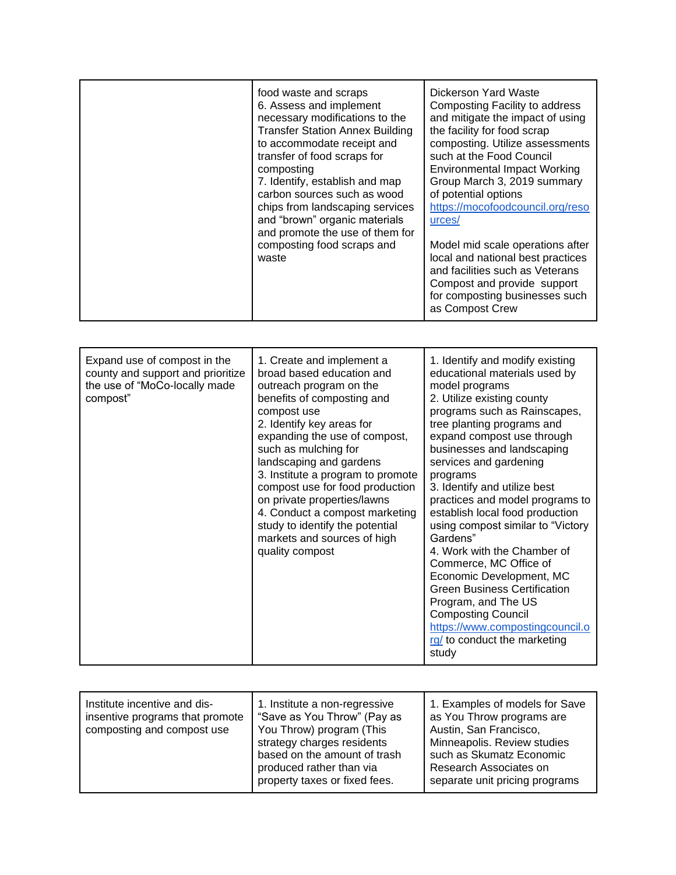| necessary modifications to the<br><b>Transfer Station Annex Building</b><br>to accommodate receipt and<br>transfer of food scraps for<br>composting<br>7. Identify, establish and map<br>carbon sources such as wood<br>chips from landscaping services<br>and "brown" organic materials<br>and promote the use of them for<br>composting food scraps and<br>waste | and mitigate the impact of using<br>the facility for food scrap<br>composting. Utilize assessments<br>such at the Food Council<br><b>Environmental Impact Working</b><br>Group March 3, 2019 summary<br>of potential options<br>https://mocofoodcouncil.org/reso<br>urces/<br>Model mid scale operations after<br>local and national best practices<br>and facilities such as Veterans<br>Compost and provide support<br>for composting businesses such<br>as Compost Crew |
|--------------------------------------------------------------------------------------------------------------------------------------------------------------------------------------------------------------------------------------------------------------------------------------------------------------------------------------------------------------------|----------------------------------------------------------------------------------------------------------------------------------------------------------------------------------------------------------------------------------------------------------------------------------------------------------------------------------------------------------------------------------------------------------------------------------------------------------------------------|
|--------------------------------------------------------------------------------------------------------------------------------------------------------------------------------------------------------------------------------------------------------------------------------------------------------------------------------------------------------------------|----------------------------------------------------------------------------------------------------------------------------------------------------------------------------------------------------------------------------------------------------------------------------------------------------------------------------------------------------------------------------------------------------------------------------------------------------------------------------|

| Institute incentive and dis-<br>insentive programs that promote<br>composting and compost use | 1. Institute a non-regressive<br>"Save as You Throw" (Pay as<br>You Throw) program (This<br>strategy charges residents<br>based on the amount of trash<br>produced rather than via<br>property taxes or fixed fees. | 1. Examples of models for Save<br>as You Throw programs are<br>Austin, San Francisco,<br>Minneapolis. Review studies<br>such as Skumatz Economic<br>Research Associates on<br>separate unit pricing programs |
|-----------------------------------------------------------------------------------------------|---------------------------------------------------------------------------------------------------------------------------------------------------------------------------------------------------------------------|--------------------------------------------------------------------------------------------------------------------------------------------------------------------------------------------------------------|
|-----------------------------------------------------------------------------------------------|---------------------------------------------------------------------------------------------------------------------------------------------------------------------------------------------------------------------|--------------------------------------------------------------------------------------------------------------------------------------------------------------------------------------------------------------|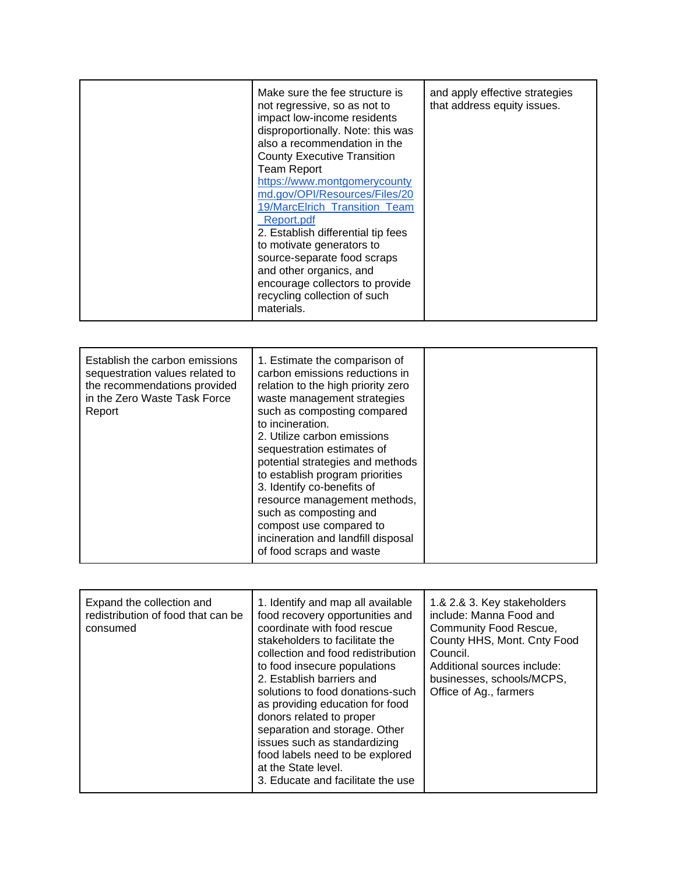|  | Make sure the fee structure is<br>not regressive, so as not to<br>impact low-income residents<br>disproportionally. Note: this was<br>also a recommendation in the<br><b>County Executive Transition</b><br><b>Team Report</b><br>https://www.montgomerycounty<br>md.gov/OPI/Resources/Files/20<br>19/MarcElrich Transition Team<br>Report.pdf<br>2. Establish differential tip fees<br>to motivate generators to<br>source-separate food scraps<br>and other organics, and<br>encourage collectors to provide<br>recycling collection of such<br>materials. | and apply effective strategies<br>that address equity issues. |
|--|--------------------------------------------------------------------------------------------------------------------------------------------------------------------------------------------------------------------------------------------------------------------------------------------------------------------------------------------------------------------------------------------------------------------------------------------------------------------------------------------------------------------------------------------------------------|---------------------------------------------------------------|
|--|--------------------------------------------------------------------------------------------------------------------------------------------------------------------------------------------------------------------------------------------------------------------------------------------------------------------------------------------------------------------------------------------------------------------------------------------------------------------------------------------------------------------------------------------------------------|---------------------------------------------------------------|

| Establish the carbon emissions<br>1. Estimate the comparison of<br>carbon emissions reductions in<br>sequestration values related to<br>the recommendations provided<br>relation to the high priority zero<br>in the Zero Waste Task Force<br>waste management strategies<br>such as composting compared<br>Report<br>to incineration.<br>2. Utilize carbon emissions<br>sequestration estimates of<br>potential strategies and methods<br>to establish program priorities<br>3. Identify co-benefits of<br>resource management methods,<br>such as composting and<br>compost use compared to<br>incineration and landfill disposal<br>of food scraps and waste |
|-----------------------------------------------------------------------------------------------------------------------------------------------------------------------------------------------------------------------------------------------------------------------------------------------------------------------------------------------------------------------------------------------------------------------------------------------------------------------------------------------------------------------------------------------------------------------------------------------------------------------------------------------------------------|
|-----------------------------------------------------------------------------------------------------------------------------------------------------------------------------------------------------------------------------------------------------------------------------------------------------------------------------------------------------------------------------------------------------------------------------------------------------------------------------------------------------------------------------------------------------------------------------------------------------------------------------------------------------------------|

| Expand the collection and<br>redistribution of food that can be<br>consumed | 1. Identify and map all available<br>food recovery opportunities and<br>coordinate with food rescue<br>stakeholders to facilitate the<br>collection and food redistribution<br>to food insecure populations<br>2. Establish barriers and<br>solutions to food donations-such<br>as providing education for food<br>donors related to proper<br>separation and storage. Other<br>issues such as standardizing<br>food labels need to be explored<br>at the State level. | 1.& 2.& 3. Key stakeholders<br>include: Manna Food and<br>Community Food Rescue,<br>County HHS, Mont. Cnty Food<br>Council.<br>Additional sources include:<br>businesses, schools/MCPS,<br>Office of Ag., farmers |
|-----------------------------------------------------------------------------|------------------------------------------------------------------------------------------------------------------------------------------------------------------------------------------------------------------------------------------------------------------------------------------------------------------------------------------------------------------------------------------------------------------------------------------------------------------------|-------------------------------------------------------------------------------------------------------------------------------------------------------------------------------------------------------------------|
|                                                                             | 3. Educate and facilitate the use                                                                                                                                                                                                                                                                                                                                                                                                                                      |                                                                                                                                                                                                                   |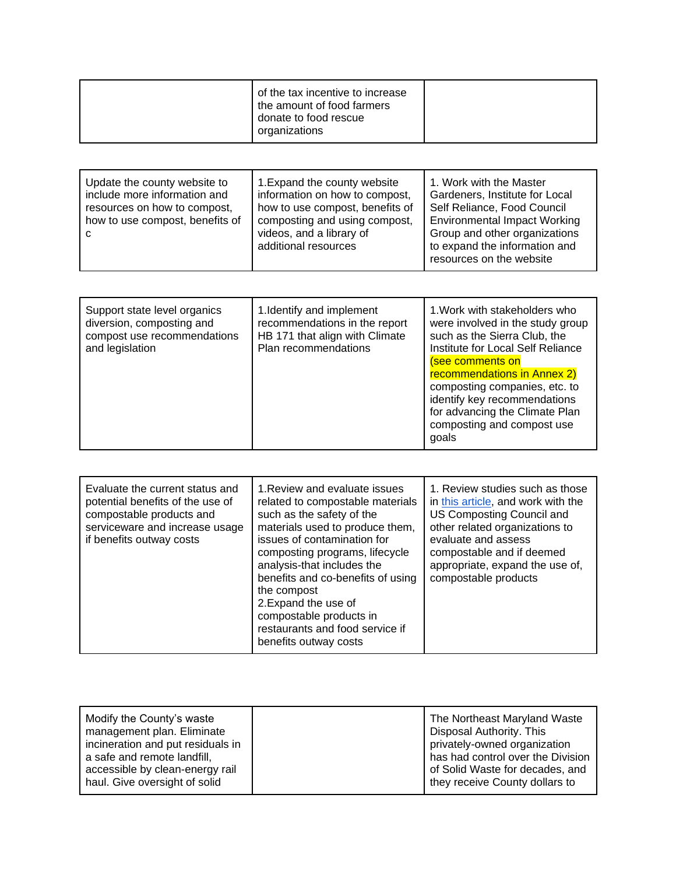| of the tax incentive to increase<br>the amount of food farmers<br>donate to food rescue |  |
|-----------------------------------------------------------------------------------------|--|
| organizations                                                                           |  |

| Update the county website to<br>include more information and<br>resources on how to compost,<br>how to use compost, benefits of | 1. Expand the county website<br>information on how to compost,<br>how to use compost, benefits of<br>composting and using compost,<br>videos, and a library of<br>additional resources | 1. Work with the Master<br>Gardeners, Institute for Local<br>Self Reliance, Food Council<br><b>Environmental Impact Working</b><br>Group and other organizations<br>to expand the information and<br>resources on the website |
|---------------------------------------------------------------------------------------------------------------------------------|----------------------------------------------------------------------------------------------------------------------------------------------------------------------------------------|-------------------------------------------------------------------------------------------------------------------------------------------------------------------------------------------------------------------------------|
|                                                                                                                                 |                                                                                                                                                                                        |                                                                                                                                                                                                                               |

| Support state level organics<br>diversion, composting and<br>compost use recommendations<br>and legislation | 1. Identify and implement<br>recommendations in the report<br>HB 171 that align with Climate<br>Plan recommendations | 1. Work with stakeholders who<br>were involved in the study group<br>such as the Sierra Club, the<br>Institute for Local Self Reliance<br>(see comments on<br>recommendations in Annex 2)<br>composting companies, etc. to<br>identify key recommendations<br>for advancing the Climate Plan<br>composting and compost use<br>goals |
|-------------------------------------------------------------------------------------------------------------|----------------------------------------------------------------------------------------------------------------------|-------------------------------------------------------------------------------------------------------------------------------------------------------------------------------------------------------------------------------------------------------------------------------------------------------------------------------------|
|-------------------------------------------------------------------------------------------------------------|----------------------------------------------------------------------------------------------------------------------|-------------------------------------------------------------------------------------------------------------------------------------------------------------------------------------------------------------------------------------------------------------------------------------------------------------------------------------|

| Evaluate the current status and<br>potential benefits of the use of<br>compostable products and<br>serviceware and increase usage<br>if benefits outway costs | 1. Review and evaluate issues<br>related to compostable materials<br>such as the safety of the<br>materials used to produce them,<br>issues of contamination for<br>composting programs, lifecycle<br>analysis-that includes the<br>benefits and co-benefits of using<br>the compost<br>2. Expand the use of<br>compostable products in<br>restaurants and food service if<br>benefits outway costs | 1. Review studies such as those<br>in this article, and work with the<br>US Composting Council and<br>other related organizations to<br>evaluate and assess<br>compostable and if deemed<br>appropriate, expand the use of,<br>compostable products |
|---------------------------------------------------------------------------------------------------------------------------------------------------------------|-----------------------------------------------------------------------------------------------------------------------------------------------------------------------------------------------------------------------------------------------------------------------------------------------------------------------------------------------------------------------------------------------------|-----------------------------------------------------------------------------------------------------------------------------------------------------------------------------------------------------------------------------------------------------|
|---------------------------------------------------------------------------------------------------------------------------------------------------------------|-----------------------------------------------------------------------------------------------------------------------------------------------------------------------------------------------------------------------------------------------------------------------------------------------------------------------------------------------------------------------------------------------------|-----------------------------------------------------------------------------------------------------------------------------------------------------------------------------------------------------------------------------------------------------|

| Modify the County's waste<br>management plan. Eliminate<br>incineration and put residuals in<br>a safe and remote landfill,<br>accessible by clean-energy rail | The Northeast Maryland Waste<br><b>Disposal Authority. This</b><br>privately-owned organization<br>has had control over the Division<br>of Solid Waste for decades, and |
|----------------------------------------------------------------------------------------------------------------------------------------------------------------|-------------------------------------------------------------------------------------------------------------------------------------------------------------------------|
| haul. Give oversight of solid                                                                                                                                  | they receive County dollars to                                                                                                                                          |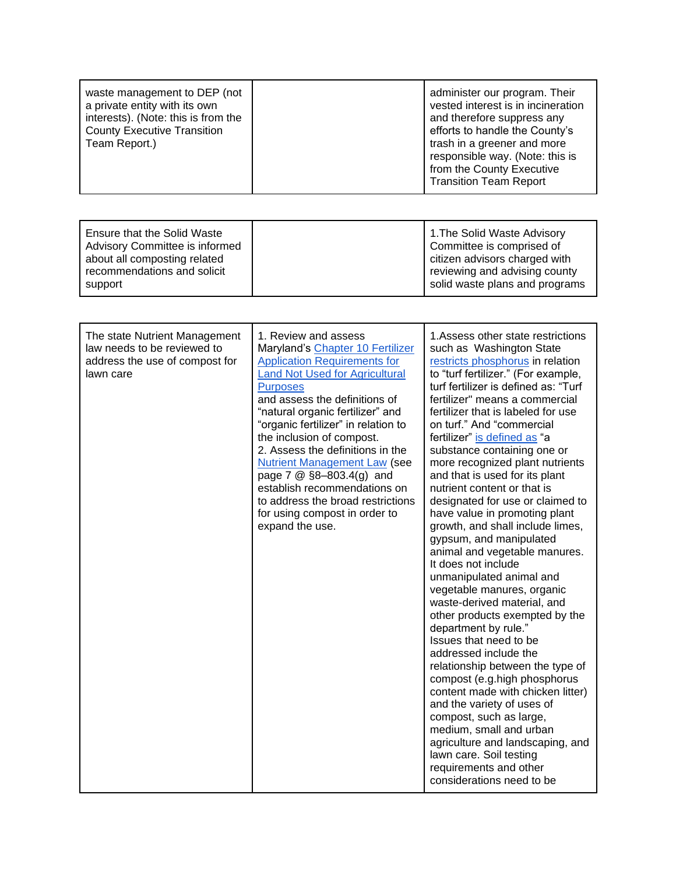| waste management to DEP (not<br>a private entity with its own<br>interests). (Note: this is from the<br><b>County Executive Transition</b><br>Team Report.) | administer our program. Their<br>vested interest is in incineration<br>and therefore suppress any<br>efforts to handle the County's<br>trash in a greener and more<br>responsible way. (Note: this is<br>from the County Executive<br><b>Transition Team Report</b> |
|-------------------------------------------------------------------------------------------------------------------------------------------------------------|---------------------------------------------------------------------------------------------------------------------------------------------------------------------------------------------------------------------------------------------------------------------|
|-------------------------------------------------------------------------------------------------------------------------------------------------------------|---------------------------------------------------------------------------------------------------------------------------------------------------------------------------------------------------------------------------------------------------------------------|

| Ensure that the Solid Waste<br>Advisory Committee is informed<br>about all composting related<br>recommendations and solicit<br>support |  | 1. The Solid Waste Advisory<br>Committee is comprised of<br>citizen advisors charged with<br>reviewing and advising county<br>solid waste plans and programs |
|-----------------------------------------------------------------------------------------------------------------------------------------|--|--------------------------------------------------------------------------------------------------------------------------------------------------------------|
|-----------------------------------------------------------------------------------------------------------------------------------------|--|--------------------------------------------------------------------------------------------------------------------------------------------------------------|

| The state Nutrient Management<br>law needs to be reviewed to<br>address the use of compost for<br>lawn care | 1. Review and assess<br>Maryland's Chapter 10 Fertilizer<br><b>Application Requirements for</b><br><b>Land Not Used for Agricultural</b><br><b>Purposes</b><br>and assess the definitions of<br>"natural organic fertilizer" and<br>"organic fertilizer" in relation to<br>the inclusion of compost.<br>2. Assess the definitions in the<br><b>Nutrient Management Law (see</b><br>page 7 $@$ §8-803.4(g) and<br>establish recommendations on<br>to address the broad restrictions<br>for using compost in order to<br>expand the use. | 1. Assess other state restrictions<br>such as Washington State<br>restricts phosphorus in relation<br>to "turf fertilizer." (For example,<br>turf fertilizer is defined as: "Turf<br>fertilizer" means a commercial<br>fertilizer that is labeled for use<br>on turf." And "commercial<br>fertilizer" is defined as "a<br>substance containing one or<br>more recognized plant nutrients<br>and that is used for its plant<br>nutrient content or that is<br>designated for use or claimed to<br>have value in promoting plant<br>growth, and shall include limes,<br>gypsum, and manipulated<br>animal and vegetable manures.<br>It does not include<br>unmanipulated animal and<br>vegetable manures, organic<br>waste-derived material, and<br>other products exempted by the<br>department by rule."<br>Issues that need to be<br>addressed include the<br>relationship between the type of<br>compost (e.g.high phosphorus<br>content made with chicken litter)<br>and the variety of uses of<br>compost, such as large,<br>medium, small and urban<br>agriculture and landscaping, and<br>lawn care. Soil testing<br>requirements and other |
|-------------------------------------------------------------------------------------------------------------|----------------------------------------------------------------------------------------------------------------------------------------------------------------------------------------------------------------------------------------------------------------------------------------------------------------------------------------------------------------------------------------------------------------------------------------------------------------------------------------------------------------------------------------|---------------------------------------------------------------------------------------------------------------------------------------------------------------------------------------------------------------------------------------------------------------------------------------------------------------------------------------------------------------------------------------------------------------------------------------------------------------------------------------------------------------------------------------------------------------------------------------------------------------------------------------------------------------------------------------------------------------------------------------------------------------------------------------------------------------------------------------------------------------------------------------------------------------------------------------------------------------------------------------------------------------------------------------------------------------------------------------------------------------------------------------------------|
|                                                                                                             |                                                                                                                                                                                                                                                                                                                                                                                                                                                                                                                                        | considerations need to be                                                                                                                                                                                                                                                                                                                                                                                                                                                                                                                                                                                                                                                                                                                                                                                                                                                                                                                                                                                                                                                                                                                         |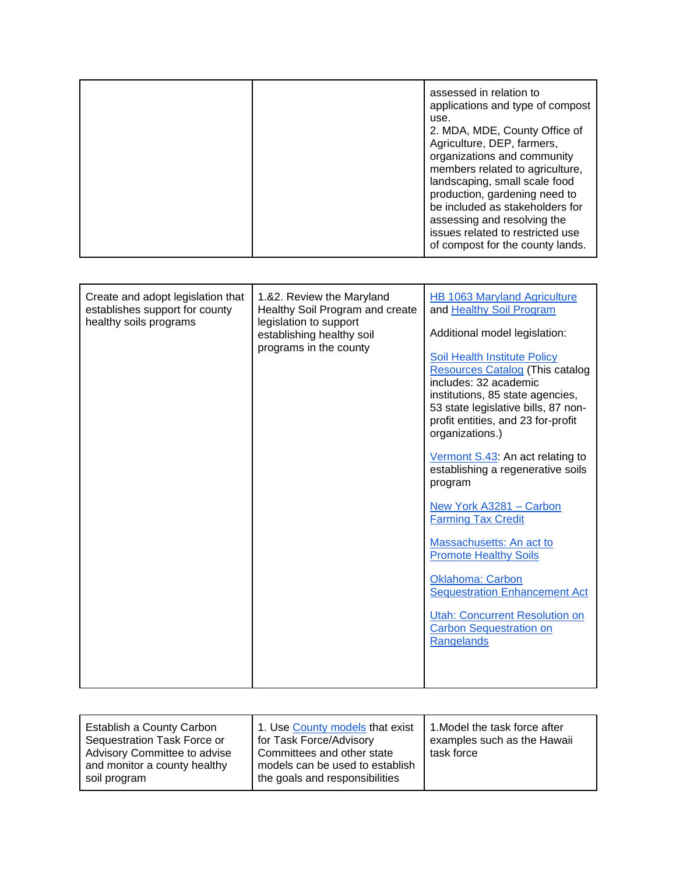| assessed in relation to<br>applications and type of compost<br>use.<br>2. MDA, MDE, County Office of<br>Agriculture, DEP, farmers,<br>organizations and community<br>members related to agriculture,<br>landscaping, small scale food<br>production, gardening need to<br>be included as stakeholders for<br>assessing and resolving the |
|------------------------------------------------------------------------------------------------------------------------------------------------------------------------------------------------------------------------------------------------------------------------------------------------------------------------------------------|
| issues related to restricted use<br>of compost for the county lands.                                                                                                                                                                                                                                                                     |

| Create and adopt legislation that<br>establishes support for county<br>healthy soils programs | 1.&2. Review the Maryland<br>Healthy Soil Program and create<br>legislation to support<br>establishing healthy soil<br>programs in the county | <b>HB 1063 Maryland Agriculture</b><br>and Healthy Soil Program<br>Additional model legislation:<br>Soil Health Institute Policy<br><b>Resources Catalog (This catalog</b><br>includes: 32 academic<br>institutions, 85 state agencies,<br>53 state legislative bills, 87 non-<br>profit entities, and 23 for-profit<br>organizations.)<br>Vermont S.43: An act relating to<br>establishing a regenerative soils<br>program<br>New York A3281 - Carbon<br><b>Farming Tax Credit</b><br>Massachusetts: An act to<br><b>Promote Healthy Soils</b><br><b>Oklahoma: Carbon</b><br><b>Sequestration Enhancement Act</b><br><b>Utah: Concurrent Resolution on</b><br><b>Carbon Sequestration on</b><br>Rangelands |
|-----------------------------------------------------------------------------------------------|-----------------------------------------------------------------------------------------------------------------------------------------------|-------------------------------------------------------------------------------------------------------------------------------------------------------------------------------------------------------------------------------------------------------------------------------------------------------------------------------------------------------------------------------------------------------------------------------------------------------------------------------------------------------------------------------------------------------------------------------------------------------------------------------------------------------------------------------------------------------------|
|-----------------------------------------------------------------------------------------------|-----------------------------------------------------------------------------------------------------------------------------------------------|-------------------------------------------------------------------------------------------------------------------------------------------------------------------------------------------------------------------------------------------------------------------------------------------------------------------------------------------------------------------------------------------------------------------------------------------------------------------------------------------------------------------------------------------------------------------------------------------------------------------------------------------------------------------------------------------------------------|

| 1. Use County models that exist<br>Establish a County Carbon<br>for Task Force/Advisory<br>Sequestration Task Force or<br>Advisory Committee to advise<br>Committees and other state<br>and monitor a county healthy<br>models can be used to establish<br>the goals and responsibilities<br>soil program | examples such as the Hawaii<br>task force |
|-----------------------------------------------------------------------------------------------------------------------------------------------------------------------------------------------------------------------------------------------------------------------------------------------------------|-------------------------------------------|
|-----------------------------------------------------------------------------------------------------------------------------------------------------------------------------------------------------------------------------------------------------------------------------------------------------------|-------------------------------------------|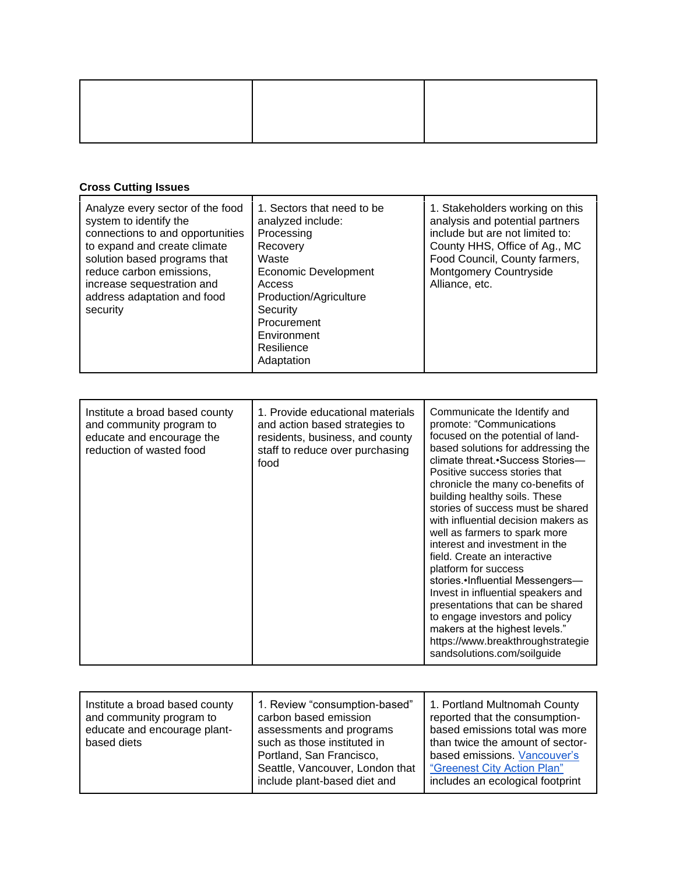### **Cross Cutting Issues**

| Analyze every sector of the food<br>system to identify the<br>connections to and opportunities<br>to expand and create climate<br>solution based programs that<br>reduce carbon emissions,<br>increase sequestration and<br>address adaptation and food<br>security | 1. Sectors that need to be<br>analyzed include:<br>Processing<br>Recovery<br>Waste<br>Economic Development<br>Access<br>Production/Agriculture<br>Security<br>Procurement<br>Environment<br>Resilience<br>Adaptation | 1. Stakeholders working on this<br>analysis and potential partners<br>include but are not limited to:<br>County HHS, Office of Ag., MC<br>Food Council, County farmers,<br><b>Montgomery Countryside</b><br>Alliance, etc. |
|---------------------------------------------------------------------------------------------------------------------------------------------------------------------------------------------------------------------------------------------------------------------|----------------------------------------------------------------------------------------------------------------------------------------------------------------------------------------------------------------------|----------------------------------------------------------------------------------------------------------------------------------------------------------------------------------------------------------------------------|
|---------------------------------------------------------------------------------------------------------------------------------------------------------------------------------------------------------------------------------------------------------------------|----------------------------------------------------------------------------------------------------------------------------------------------------------------------------------------------------------------------|----------------------------------------------------------------------------------------------------------------------------------------------------------------------------------------------------------------------------|

| Institute a broad based county<br>and community program to<br>educate and encourage the<br>reduction of wasted food | 1. Provide educational materials<br>and action based strategies to<br>residents, business, and county<br>staff to reduce over purchasing<br>food | Communicate the Identify and<br>promote: "Communications<br>focused on the potential of land-<br>based solutions for addressing the<br>climate threat. Success Stories-<br>Positive success stories that<br>chronicle the many co-benefits of<br>building healthy soils. These<br>stories of success must be shared<br>with influential decision makers as<br>well as farmers to spark more<br>interest and investment in the<br>field. Create an interactive<br>platform for success<br>stories.•Influential Messengers-<br>Invest in influential speakers and<br>presentations that can be shared<br>to engage investors and policy<br>makers at the highest levels." |
|---------------------------------------------------------------------------------------------------------------------|--------------------------------------------------------------------------------------------------------------------------------------------------|-------------------------------------------------------------------------------------------------------------------------------------------------------------------------------------------------------------------------------------------------------------------------------------------------------------------------------------------------------------------------------------------------------------------------------------------------------------------------------------------------------------------------------------------------------------------------------------------------------------------------------------------------------------------------|
|                                                                                                                     |                                                                                                                                                  | https://www.breakthroughstrategie<br>sandsolutions.com/soilguide                                                                                                                                                                                                                                                                                                                                                                                                                                                                                                                                                                                                        |

| Institute a broad based county<br>and community program to<br>educate and encourage plant-<br>based diets | 1. Review "consumption-based"<br>carbon based emission<br>assessments and programs<br>such as those instituted in<br>Portland, San Francisco,<br>Seattle, Vancouver, London that<br>include plant-based diet and | 1. Portland Multnomah County<br>reported that the consumption-<br>based emissions total was more<br>than twice the amount of sector-<br>based emissions. Vancouver's<br>"Greenest City Action Plan"<br>includes an ecological footprint |
|-----------------------------------------------------------------------------------------------------------|------------------------------------------------------------------------------------------------------------------------------------------------------------------------------------------------------------------|-----------------------------------------------------------------------------------------------------------------------------------------------------------------------------------------------------------------------------------------|
|-----------------------------------------------------------------------------------------------------------|------------------------------------------------------------------------------------------------------------------------------------------------------------------------------------------------------------------|-----------------------------------------------------------------------------------------------------------------------------------------------------------------------------------------------------------------------------------------|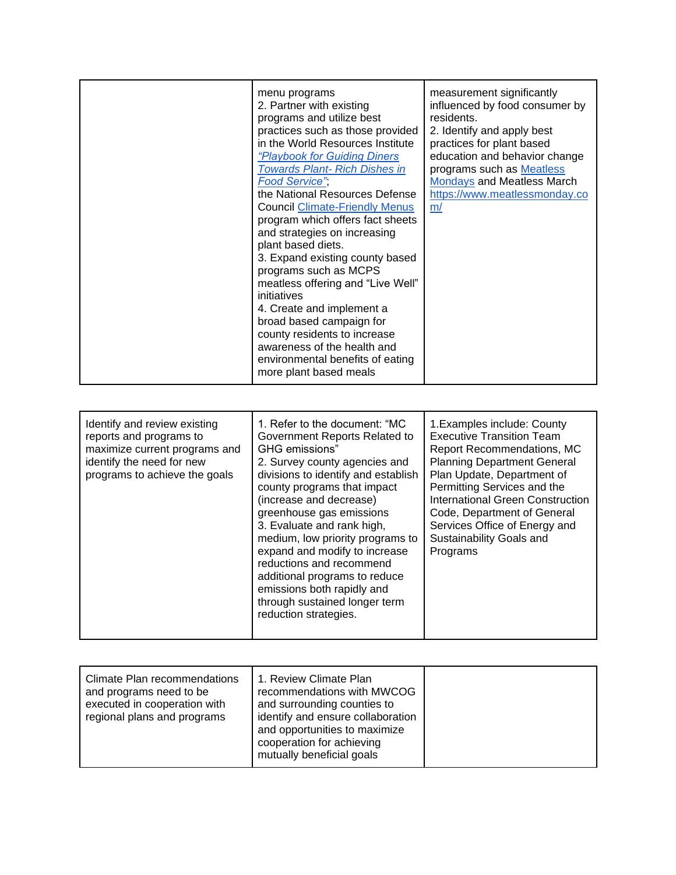| menu programs<br>2. Partner with existing<br>programs and utilize best<br>practices such as those provided<br>in the World Resources Institute<br><i>"Playbook for Guiding Diners</i><br><b>Towards Plant- Rich Dishes in</b><br>Food Service",<br>the National Resources Defense<br><b>Council Climate-Friendly Menus</b><br>program which offers fact sheets<br>and strategies on increasing<br>plant based diets.<br>3. Expand existing county based<br>programs such as MCPS<br>meatless offering and "Live Well"<br>initiatives<br>4. Create and implement a<br>broad based campaign for<br>county residents to increase<br>awareness of the health and | measurement significantly<br>influenced by food consumer by<br>residents.<br>2. Identify and apply best<br>practices for plant based<br>education and behavior change<br>programs such as Meatless<br><b>Mondays and Meatless March</b><br>https://www.meatlessmonday.co<br>m/ |
|--------------------------------------------------------------------------------------------------------------------------------------------------------------------------------------------------------------------------------------------------------------------------------------------------------------------------------------------------------------------------------------------------------------------------------------------------------------------------------------------------------------------------------------------------------------------------------------------------------------------------------------------------------------|--------------------------------------------------------------------------------------------------------------------------------------------------------------------------------------------------------------------------------------------------------------------------------|
| environmental benefits of eating<br>more plant based meals                                                                                                                                                                                                                                                                                                                                                                                                                                                                                                                                                                                                   |                                                                                                                                                                                                                                                                                |

| Identify and review existing<br>reports and programs to<br>maximize current programs and<br>identify the need for new<br>programs to achieve the goals | 1. Refer to the document: "MC<br>Government Reports Related to<br>GHG emissions"<br>2. Survey county agencies and<br>divisions to identify and establish<br>county programs that impact<br>(increase and decrease)<br>greenhouse gas emissions<br>3. Evaluate and rank high,<br>medium, low priority programs to<br>expand and modify to increase<br>reductions and recommend<br>additional programs to reduce<br>emissions both rapidly and<br>through sustained longer term<br>reduction strategies. | 1. Examples include: County<br><b>Executive Transition Team</b><br><b>Report Recommendations, MC</b><br><b>Planning Department General</b><br>Plan Update, Department of<br>Permitting Services and the<br>International Green Construction<br>Code, Department of General<br>Services Office of Energy and<br>Sustainability Goals and<br>Programs |
|--------------------------------------------------------------------------------------------------------------------------------------------------------|--------------------------------------------------------------------------------------------------------------------------------------------------------------------------------------------------------------------------------------------------------------------------------------------------------------------------------------------------------------------------------------------------------------------------------------------------------------------------------------------------------|-----------------------------------------------------------------------------------------------------------------------------------------------------------------------------------------------------------------------------------------------------------------------------------------------------------------------------------------------------|
|                                                                                                                                                        |                                                                                                                                                                                                                                                                                                                                                                                                                                                                                                        |                                                                                                                                                                                                                                                                                                                                                     |

| Climate Plan recommendations<br>and programs need to be<br>executed in cooperation with<br>regional plans and programs | 1. Review Climate Plan<br>recommendations with MWCOG<br>and surrounding counties to<br>identify and ensure collaboration<br>and opportunities to maximize<br>cooperation for achieving<br>mutually beneficial goals |  |
|------------------------------------------------------------------------------------------------------------------------|---------------------------------------------------------------------------------------------------------------------------------------------------------------------------------------------------------------------|--|
|------------------------------------------------------------------------------------------------------------------------|---------------------------------------------------------------------------------------------------------------------------------------------------------------------------------------------------------------------|--|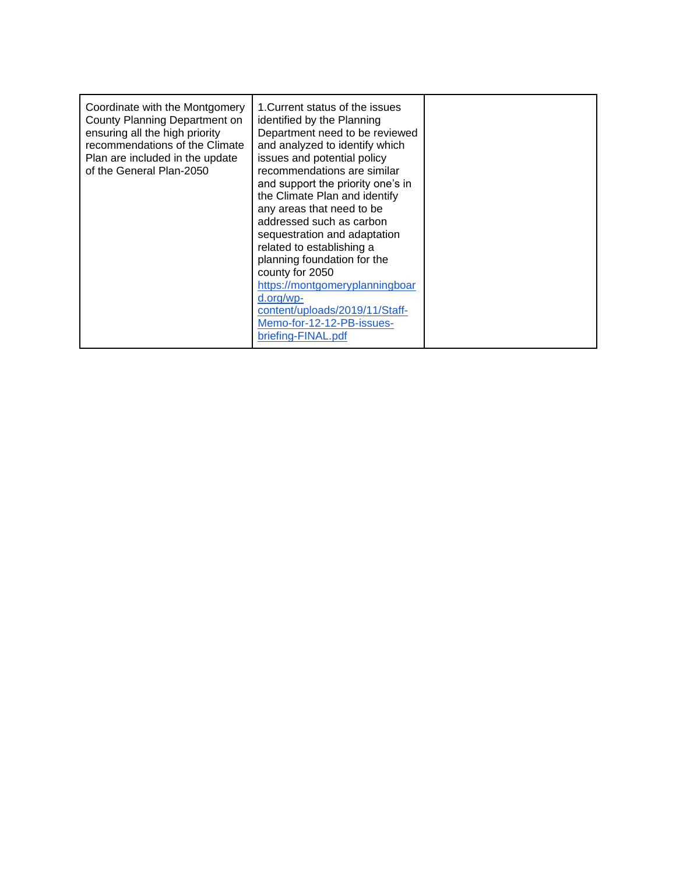| Coordinate with the Montgomery<br>County Planning Department on<br>ensuring all the high priority<br>recommendations of the Climate<br>Plan are included in the update<br>of the General Plan-2050 | 1. Current status of the issues<br>identified by the Planning<br>Department need to be reviewed<br>and analyzed to identify which<br>issues and potential policy<br>recommendations are similar<br>and support the priority one's in<br>the Climate Plan and identify<br>any areas that need to be<br>addressed such as carbon<br>sequestration and adaptation<br>related to establishing a<br>planning foundation for the<br>county for 2050<br>https://montgomeryplanningboar<br>d.org/wp-<br>content/uploads/2019/11/Staff-<br>Memo-for-12-12-PB-issues- |  |
|----------------------------------------------------------------------------------------------------------------------------------------------------------------------------------------------------|-------------------------------------------------------------------------------------------------------------------------------------------------------------------------------------------------------------------------------------------------------------------------------------------------------------------------------------------------------------------------------------------------------------------------------------------------------------------------------------------------------------------------------------------------------------|--|
|                                                                                                                                                                                                    | briefing-FINAL.pdf                                                                                                                                                                                                                                                                                                                                                                                                                                                                                                                                          |  |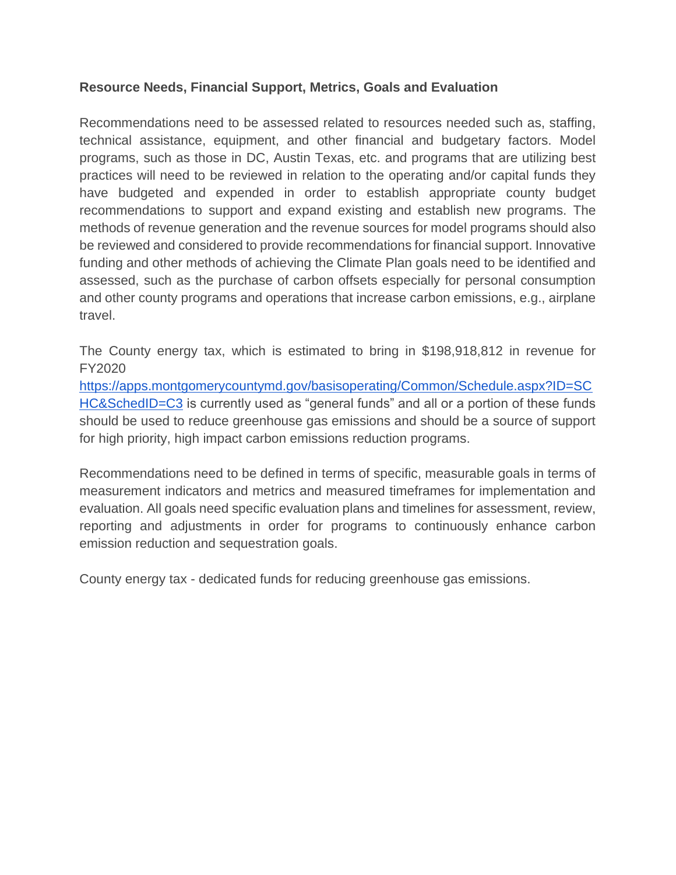### **Resource Needs, Financial Support, Metrics, Goals and Evaluation**

Recommendations need to be assessed related to resources needed such as, staffing, technical assistance, equipment, and other financial and budgetary factors. Model programs, such as those in DC, Austin Texas, etc. and programs that are utilizing best practices will need to be reviewed in relation to the operating and/or capital funds they have budgeted and expended in order to establish appropriate county budget recommendations to support and expand existing and establish new programs. The methods of revenue generation and the revenue sources for model programs should also be reviewed and considered to provide recommendations for financial support. Innovative funding and other methods of achieving the Climate Plan goals need to be identified and assessed, such as the purchase of carbon offsets especially for personal consumption and other county programs and operations that increase carbon emissions, e.g., airplane travel.

The County energy tax, which is estimated to bring in \$198,918,812 in revenue for FY2020

[https://apps.montgomerycountymd.gov/basisoperating/Common/Schedule.aspx?ID=SC](https://apps.montgomerycountymd.gov/basisoperating/Common/Schedule.aspx?ID=SCHC&SchedID=C3) [HC&SchedID=C3](https://apps.montgomerycountymd.gov/basisoperating/Common/Schedule.aspx?ID=SCHC&SchedID=C3) is currently used as "general funds" and all or a portion of these funds should be used to reduce greenhouse gas emissions and should be a source of support for high priority, high impact carbon emissions reduction programs.

Recommendations need to be defined in terms of specific, measurable goals in terms of measurement indicators and metrics and measured timeframes for implementation and evaluation. All goals need specific evaluation plans and timelines for assessment, review, reporting and adjustments in order for programs to continuously enhance carbon emission reduction and sequestration goals.

County energy tax - dedicated funds for reducing greenhouse gas emissions.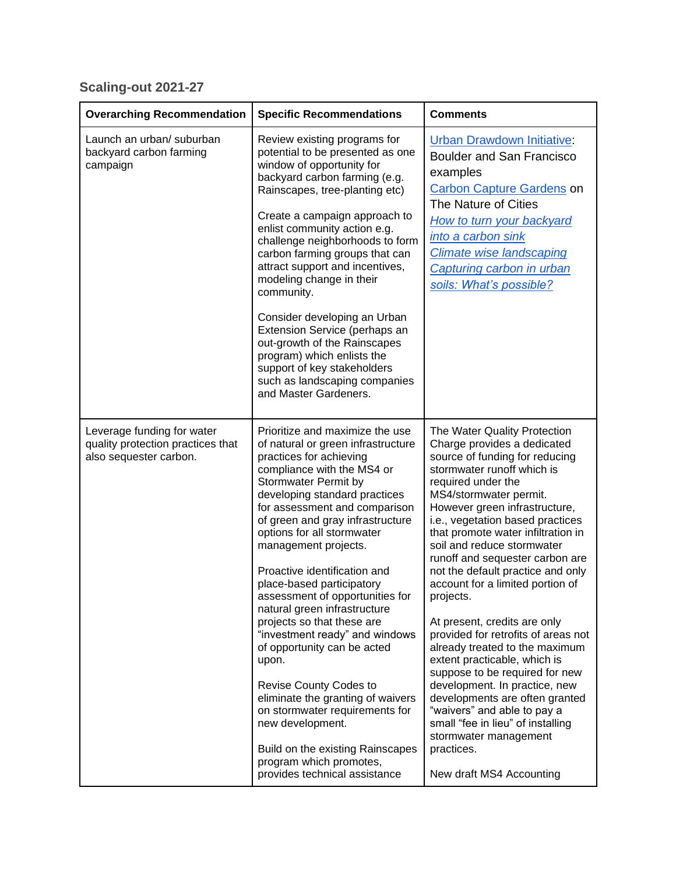## **Scaling-out 2021-27**

| <b>Overarching Recommendation</b>                                                         | <b>Specific Recommendations</b>                                                                                                                                                                                                                                                                                                                                                                                                                                                                                                                                                                                                                                                                                                                                                        | <b>Comments</b>                                                                                                                                                                                                                                                                                                                                                                                                                                                                                                                                                                                                                                                                                                                                                                                                                    |
|-------------------------------------------------------------------------------------------|----------------------------------------------------------------------------------------------------------------------------------------------------------------------------------------------------------------------------------------------------------------------------------------------------------------------------------------------------------------------------------------------------------------------------------------------------------------------------------------------------------------------------------------------------------------------------------------------------------------------------------------------------------------------------------------------------------------------------------------------------------------------------------------|------------------------------------------------------------------------------------------------------------------------------------------------------------------------------------------------------------------------------------------------------------------------------------------------------------------------------------------------------------------------------------------------------------------------------------------------------------------------------------------------------------------------------------------------------------------------------------------------------------------------------------------------------------------------------------------------------------------------------------------------------------------------------------------------------------------------------------|
| Launch an urban/ suburban<br>backyard carbon farming<br>campaign                          | Review existing programs for<br>potential to be presented as one<br>window of opportunity for<br>backyard carbon farming (e.g.<br>Rainscapes, tree-planting etc)<br>Create a campaign approach to<br>enlist community action e.g.<br>challenge neighborhoods to form<br>carbon farming groups that can<br>attract support and incentives,<br>modeling change in their<br>community.<br>Consider developing an Urban<br>Extension Service (perhaps an<br>out-growth of the Rainscapes<br>program) which enlists the<br>support of key stakeholders<br>such as landscaping companies<br>and Master Gardeners.                                                                                                                                                                            | Urban Drawdown Initiative:<br><b>Boulder and San Francisco</b><br>examples<br><b>Carbon Capture Gardens on</b><br>The Nature of Cities<br>How to turn your backyard<br>into a carbon sink<br><b>Climate wise landscaping</b><br>Capturing carbon in urban<br>soils: What's possible?                                                                                                                                                                                                                                                                                                                                                                                                                                                                                                                                               |
| Leverage funding for water<br>quality protection practices that<br>also sequester carbon. | Prioritize and maximize the use<br>of natural or green infrastructure<br>practices for achieving<br>compliance with the MS4 or<br>Stormwater Permit by<br>developing standard practices<br>for assessment and comparison<br>of green and gray infrastructure<br>options for all stormwater<br>management projects.<br>Proactive identification and<br>place-based participatory<br>assessment of opportunities for<br>natural green infrastructure<br>projects so that these are<br>"investment ready" and windows<br>of opportunity can be acted<br>upon.<br><b>Revise County Codes to</b><br>eliminate the granting of waivers<br>on stormwater requirements for<br>new development.<br>Build on the existing Rainscapes<br>program which promotes,<br>provides technical assistance | The Water Quality Protection<br>Charge provides a dedicated<br>source of funding for reducing<br>stormwater runoff which is<br>required under the<br>MS4/stormwater permit.<br>However green infrastructure,<br>i.e., vegetation based practices<br>that promote water infiltration in<br>soil and reduce stormwater<br>runoff and sequester carbon are<br>not the default practice and only<br>account for a limited portion of<br>projects.<br>At present, credits are only<br>provided for retrofits of areas not<br>already treated to the maximum<br>extent practicable, which is<br>suppose to be required for new<br>development. In practice, new<br>developments are often granted<br>"waivers" and able to pay a<br>small "fee in lieu" of installing<br>stormwater management<br>practices.<br>New draft MS4 Accounting |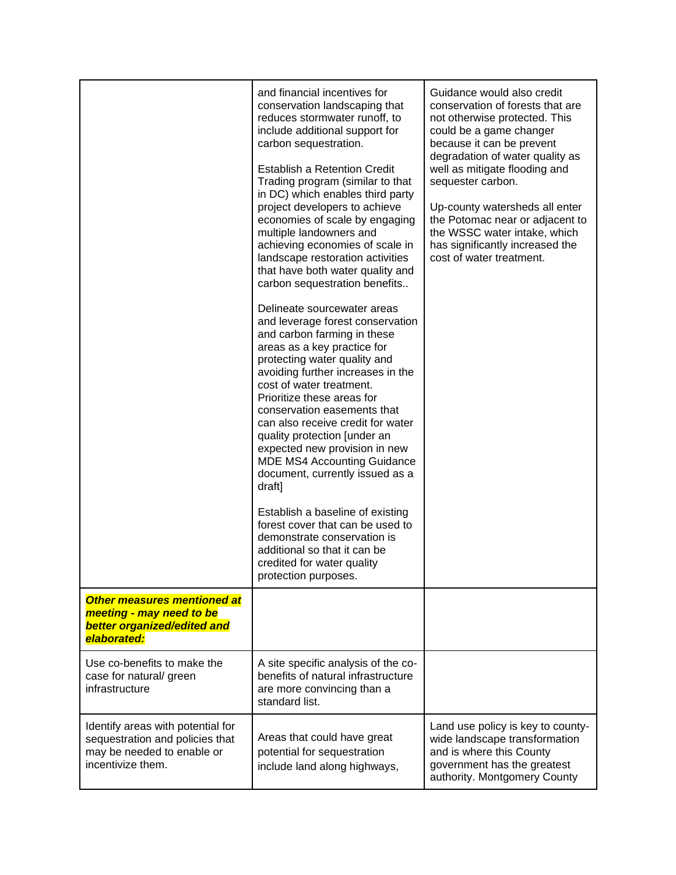| <b>Other measures mentioned at</b><br>meeting - may need to be<br>better organized/edited and<br>elaborated:            | and financial incentives for<br>conservation landscaping that<br>reduces stormwater runoff, to<br>include additional support for<br>carbon sequestration.<br><b>Establish a Retention Credit</b><br>Trading program (similar to that<br>in DC) which enables third party<br>project developers to achieve<br>economies of scale by engaging<br>multiple landowners and<br>achieving economies of scale in<br>landscape restoration activities<br>that have both water quality and<br>carbon sequestration benefits<br>Delineate sourcewater areas<br>and leverage forest conservation<br>and carbon farming in these<br>areas as a key practice for<br>protecting water quality and<br>avoiding further increases in the<br>cost of water treatment.<br>Prioritize these areas for<br>conservation easements that<br>can also receive credit for water<br>quality protection [under an<br>expected new provision in new<br><b>MDE MS4 Accounting Guidance</b><br>document, currently issued as a<br>draft]<br>Establish a baseline of existing<br>forest cover that can be used to<br>demonstrate conservation is<br>additional so that it can be<br>credited for water quality<br>protection purposes. | Guidance would also credit<br>conservation of forests that are<br>not otherwise protected. This<br>could be a game changer<br>because it can be prevent<br>degradation of water quality as<br>well as mitigate flooding and<br>sequester carbon.<br>Up-county watersheds all enter<br>the Potomac near or adjacent to<br>the WSSC water intake, which<br>has significantly increased the<br>cost of water treatment. |
|-------------------------------------------------------------------------------------------------------------------------|---------------------------------------------------------------------------------------------------------------------------------------------------------------------------------------------------------------------------------------------------------------------------------------------------------------------------------------------------------------------------------------------------------------------------------------------------------------------------------------------------------------------------------------------------------------------------------------------------------------------------------------------------------------------------------------------------------------------------------------------------------------------------------------------------------------------------------------------------------------------------------------------------------------------------------------------------------------------------------------------------------------------------------------------------------------------------------------------------------------------------------------------------------------------------------------------------------|----------------------------------------------------------------------------------------------------------------------------------------------------------------------------------------------------------------------------------------------------------------------------------------------------------------------------------------------------------------------------------------------------------------------|
| Use co-benefits to make the<br>case for natural/ green<br>infrastructure                                                | A site specific analysis of the co-<br>benefits of natural infrastructure<br>are more convincing than a<br>standard list.                                                                                                                                                                                                                                                                                                                                                                                                                                                                                                                                                                                                                                                                                                                                                                                                                                                                                                                                                                                                                                                                               |                                                                                                                                                                                                                                                                                                                                                                                                                      |
| Identify areas with potential for<br>sequestration and policies that<br>may be needed to enable or<br>incentivize them. | Areas that could have great<br>potential for sequestration<br>include land along highways,                                                                                                                                                                                                                                                                                                                                                                                                                                                                                                                                                                                                                                                                                                                                                                                                                                                                                                                                                                                                                                                                                                              | Land use policy is key to county-<br>wide landscape transformation<br>and is where this County<br>government has the greatest<br>authority. Montgomery County                                                                                                                                                                                                                                                        |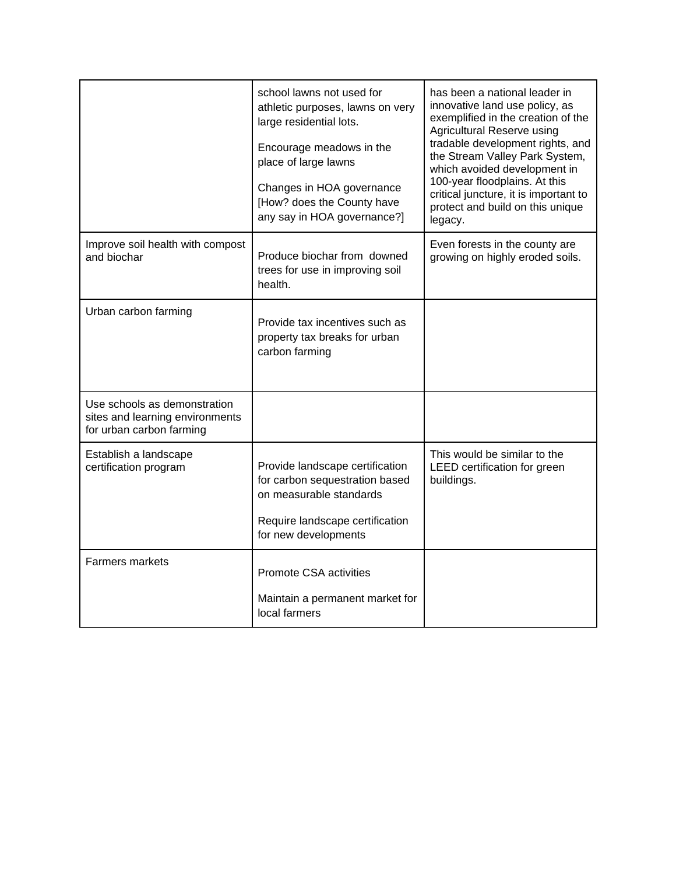|                                                                                             | school lawns not used for<br>athletic purposes, lawns on very<br>large residential lots.<br>Encourage meadows in the<br>place of large lawns<br>Changes in HOA governance<br>[How? does the County have<br>any say in HOA governance?] | has been a national leader in<br>innovative land use policy, as<br>exemplified in the creation of the<br><b>Agricultural Reserve using</b><br>tradable development rights, and<br>the Stream Valley Park System,<br>which avoided development in<br>100-year floodplains. At this<br>critical juncture, it is important to<br>protect and build on this unique<br>legacy. |
|---------------------------------------------------------------------------------------------|----------------------------------------------------------------------------------------------------------------------------------------------------------------------------------------------------------------------------------------|---------------------------------------------------------------------------------------------------------------------------------------------------------------------------------------------------------------------------------------------------------------------------------------------------------------------------------------------------------------------------|
| Improve soil health with compost<br>and biochar                                             | Produce biochar from downed<br>trees for use in improving soil<br>health.                                                                                                                                                              | Even forests in the county are<br>growing on highly eroded soils.                                                                                                                                                                                                                                                                                                         |
| Urban carbon farming                                                                        | Provide tax incentives such as<br>property tax breaks for urban<br>carbon farming                                                                                                                                                      |                                                                                                                                                                                                                                                                                                                                                                           |
| Use schools as demonstration<br>sites and learning environments<br>for urban carbon farming |                                                                                                                                                                                                                                        |                                                                                                                                                                                                                                                                                                                                                                           |
| Establish a landscape<br>certification program                                              | Provide landscape certification<br>for carbon sequestration based<br>on measurable standards<br>Require landscape certification                                                                                                        | This would be similar to the<br>LEED certification for green<br>buildings.                                                                                                                                                                                                                                                                                                |
|                                                                                             | for new developments                                                                                                                                                                                                                   |                                                                                                                                                                                                                                                                                                                                                                           |
| <b>Farmers markets</b>                                                                      | Promote CSA activities<br>Maintain a permanent market for<br>local farmers                                                                                                                                                             |                                                                                                                                                                                                                                                                                                                                                                           |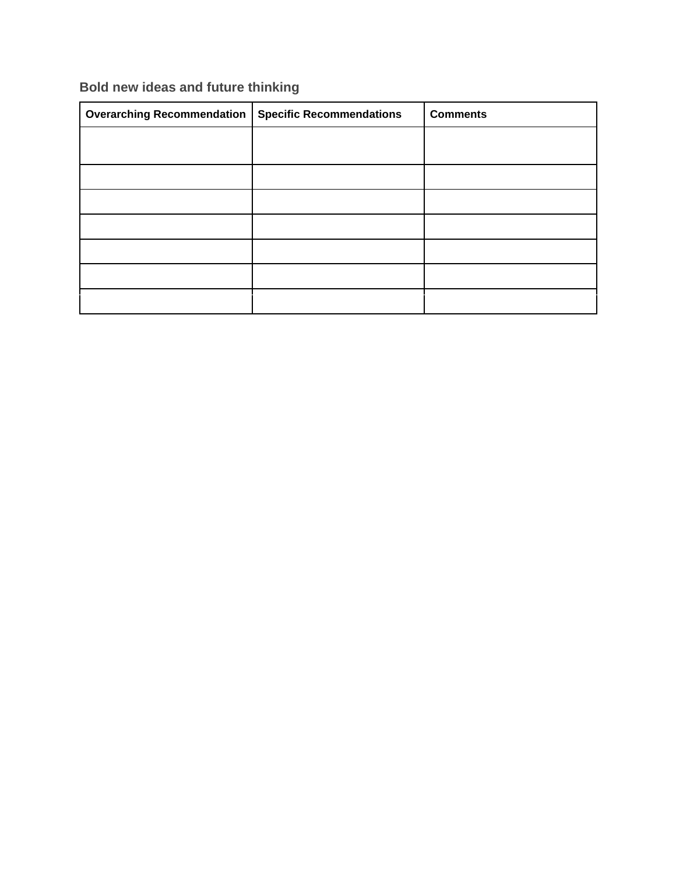## **Bold new ideas and future thinking**

| <b>Overarching Recommendation</b> | <b>Specific Recommendations</b> | <b>Comments</b> |
|-----------------------------------|---------------------------------|-----------------|
|                                   |                                 |                 |
|                                   |                                 |                 |
|                                   |                                 |                 |
|                                   |                                 |                 |
|                                   |                                 |                 |
|                                   |                                 |                 |
|                                   |                                 |                 |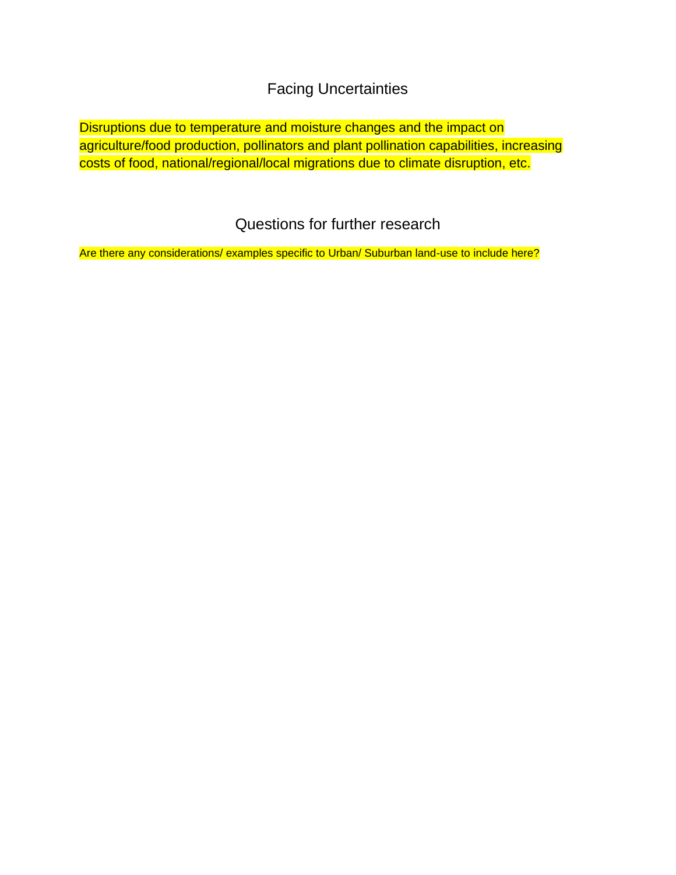Facing Uncertainties

Disruptions due to temperature and moisture changes and the impact on agriculture/food production, pollinators and plant pollination capabilities, increasing costs of food, national/regional/local migrations due to climate disruption, etc.

# Questions for further research

<span id="page-24-0"></span>Are there any considerations/ examples specific to Urban/ Suburban land-use to include here?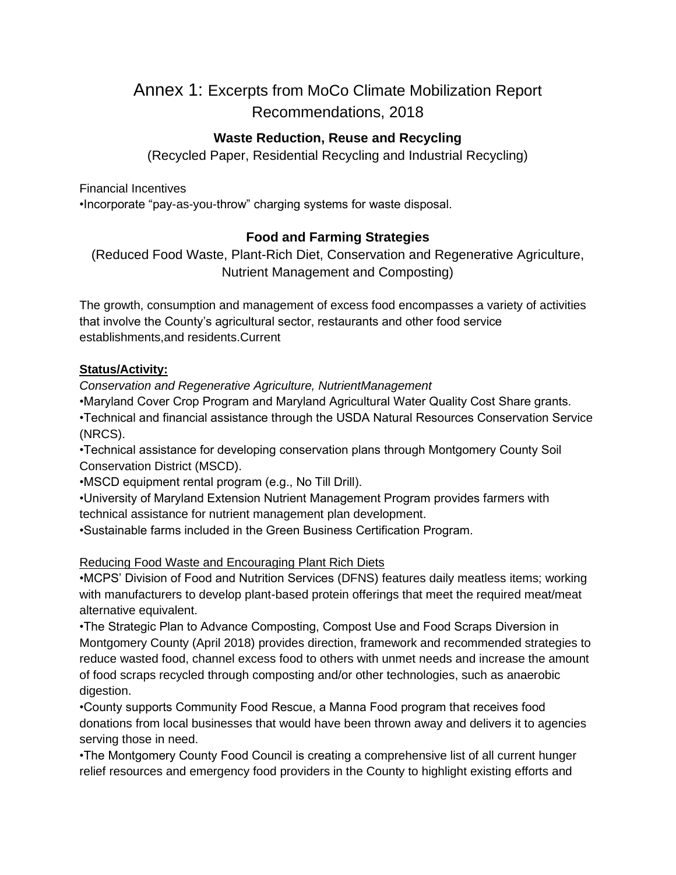# Annex 1: Excerpts from MoCo Climate Mobilization Report Recommendations, 2018

### **Waste Reduction, Reuse and Recycling**

(Recycled Paper, Residential Recycling and Industrial Recycling)

Financial Incentives

•Incorporate "pay-as-you-throw" charging systems for waste disposal.

### **Food and Farming Strategies**

(Reduced Food Waste, Plant-Rich Diet, Conservation and Regenerative Agriculture, Nutrient Management and Composting)

The growth, consumption and management of excess food encompasses a variety of activities that involve the County's agricultural sector, restaurants and other food service establishments,and residents.Current

### **Status/Activity:**

*Conservation and Regenerative Agriculture, NutrientManagement*

•Maryland Cover Crop Program and Maryland Agricultural Water Quality Cost Share grants.

•Technical and financial assistance through the USDA Natural Resources Conservation Service (NRCS).

•Technical assistance for developing conservation plans through Montgomery County Soil Conservation District (MSCD).

•MSCD equipment rental program (e.g., No Till Drill).

•University of Maryland Extension Nutrient Management Program provides farmers with technical assistance for nutrient management plan development.

•Sustainable farms included in the Green Business Certification Program.

### Reducing Food Waste and Encouraging Plant Rich Diets

•MCPS' Division of Food and Nutrition Services (DFNS) features daily meatless items; working with manufacturers to develop plant-based protein offerings that meet the required meat/meat alternative equivalent.

•The Strategic Plan to Advance Composting, Compost Use and Food Scraps Diversion in Montgomery County (April 2018) provides direction, framework and recommended strategies to reduce wasted food, channel excess food to others with unmet needs and increase the amount of food scraps recycled through composting and/or other technologies, such as anaerobic digestion.

•County supports Community Food Rescue, a Manna Food program that receives food donations from local businesses that would have been thrown away and delivers it to agencies serving those in need.

•The Montgomery County Food Council is creating a comprehensive list of all current hunger relief resources and emergency food providers in the County to highlight existing efforts and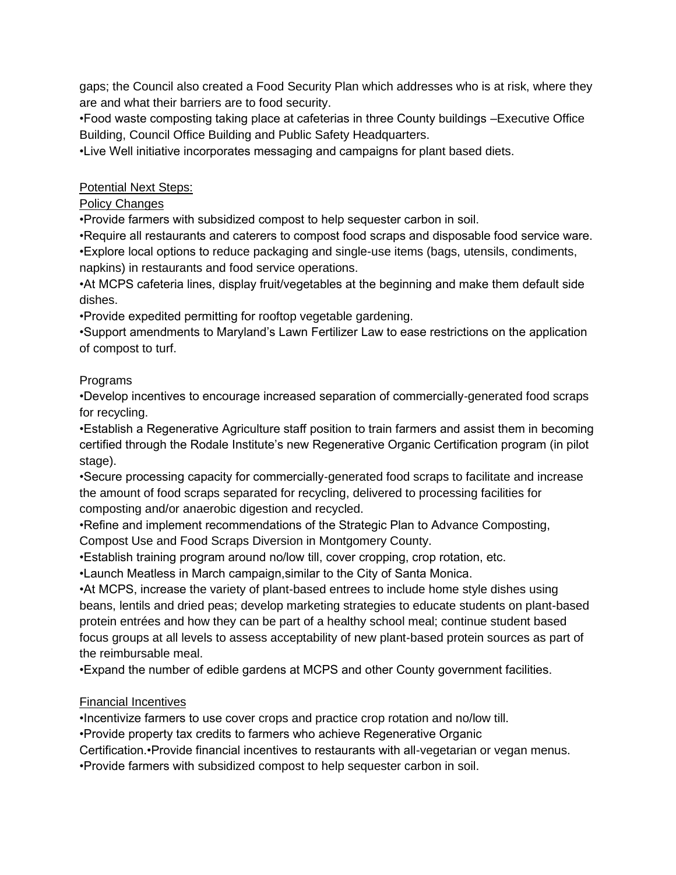gaps; the Council also created a Food Security Plan which addresses who is at risk, where they are and what their barriers are to food security.

•Food waste composting taking place at cafeterias in three County buildings –Executive Office Building, Council Office Building and Public Safety Headquarters.

•Live Well initiative incorporates messaging and campaigns for plant based diets.

#### Potential Next Steps:

### Policy Changes

•Provide farmers with subsidized compost to help sequester carbon in soil.

•Require all restaurants and caterers to compost food scraps and disposable food service ware. •Explore local options to reduce packaging and single-use items (bags, utensils, condiments, napkins) in restaurants and food service operations.

•At MCPS cafeteria lines, display fruit/vegetables at the beginning and make them default side dishes.

•Provide expedited permitting for rooftop vegetable gardening.

•Support amendments to Maryland's Lawn Fertilizer Law to ease restrictions on the application of compost to turf.

### Programs

•Develop incentives to encourage increased separation of commercially-generated food scraps for recycling.

•Establish a Regenerative Agriculture staff position to train farmers and assist them in becoming certified through the Rodale Institute's new Regenerative Organic Certification program (in pilot stage).

•Secure processing capacity for commercially-generated food scraps to facilitate and increase the amount of food scraps separated for recycling, delivered to processing facilities for composting and/or anaerobic digestion and recycled.

•Refine and implement recommendations of the Strategic Plan to Advance Composting, Compost Use and Food Scraps Diversion in Montgomery County.

•Establish training program around no/low till, cover cropping, crop rotation, etc.

•Launch Meatless in March campaign,similar to the City of Santa Monica.

•At MCPS, increase the variety of plant-based entrees to include home style dishes using beans, lentils and dried peas; develop marketing strategies to educate students on plant-based protein entrées and how they can be part of a healthy school meal; continue student based focus groups at all levels to assess acceptability of new plant-based protein sources as part of the reimbursable meal.

•Expand the number of edible gardens at MCPS and other County government facilities.

### Financial Incentives

•Incentivize farmers to use cover crops and practice crop rotation and no/low till.

•Provide property tax credits to farmers who achieve Regenerative Organic

Certification.•Provide financial incentives to restaurants with all-vegetarian or vegan menus.

•Provide farmers with subsidized compost to help sequester carbon in soil.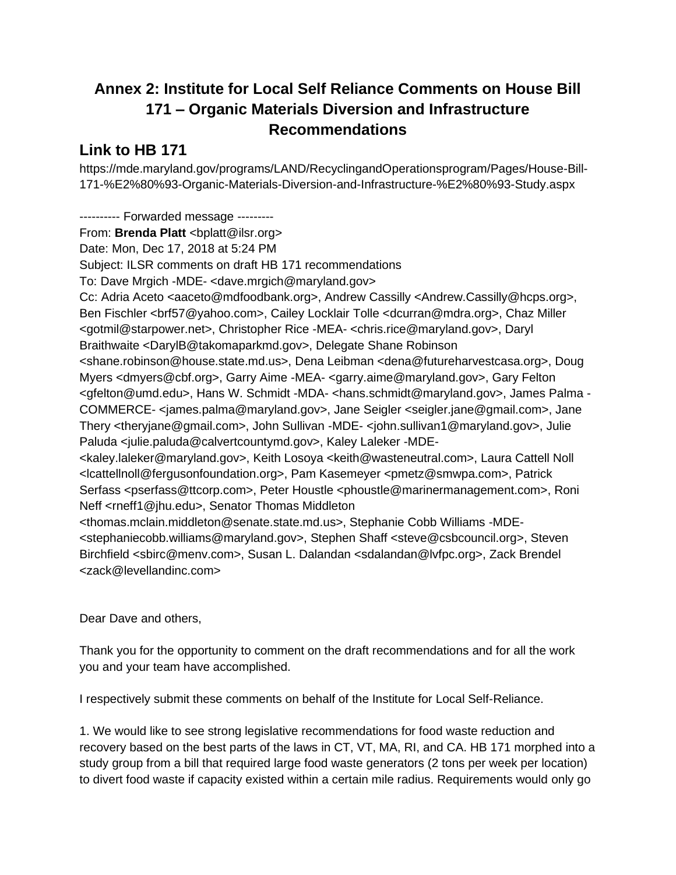# **Annex 2: Institute for Local Self Reliance Comments on House Bill 171 – Organic Materials Diversion and Infrastructure Recommendations**

# **Link to HB 171**

https://mde.maryland.gov/programs/LAND/RecyclingandOperationsprogram/Pages/House-Bill-171-%E2%80%93-Organic-Materials-Diversion-and-Infrastructure-%E2%80%93-Study.aspx

---------- Forwarded message ---------

From: **Brenda Platt** <br/> <br/>**blatt@ilsr.org>** Date: Mon, Dec 17, 2018 at 5:24 PM Subject: ILSR comments on draft HB 171 recommendations To: Dave Mrgich -MDE- <dave.mrgich@maryland.gov> Cc: Adria Aceto <aaceto@mdfoodbank.org>, Andrew Cassilly <Andrew.Cassilly@hcps.org>, Ben Fischler <br f57@yahoo.com>, Cailey Locklair Tolle <dcurran@mdra.org>, Chaz Miller <gotmil@starpower.net>, Christopher Rice -MEA- <chris.rice@maryland.gov>, Daryl Braithwaite <DarylB@takomaparkmd.gov>, Delegate Shane Robinson <shane.robinson@house.state.md.us>, Dena Leibman <dena@futureharvestcasa.org>, Doug Myers <dmyers@cbf.org>, Garry Aime -MEA- <garry.aime@maryland.gov>, Gary Felton <gfelton@umd.edu>, Hans W. Schmidt -MDA- <hans.schmidt@maryland.gov>, James Palma - COMMERCE- <james.palma@maryland.gov>, Jane Seigler <seigler.jane@gmail.com>, Jane

Thery <theryjane@gmail.com>, John Sullivan -MDE- <john.sullivan1@maryland.gov>, Julie Paluda <julie.paluda@calvertcountymd.gov>, Kaley Laleker -MDE-

<kaley.laleker@maryland.gov>, Keith Losoya <keith@wasteneutral.com>, Laura Cattell Noll <lcattellnoll@fergusonfoundation.org>, Pam Kasemeyer <pmetz@smwpa.com>, Patrick Serfass <pserfass@ttcorp.com>, Peter Houstle <phoustle@marinermanagement.com>, Roni Neff <rneff1@jhu.edu>, Senator Thomas Middleton

<thomas.mclain.middleton@senate.state.md.us>, Stephanie Cobb Williams -MDE- <stephaniecobb.williams@maryland.gov>, Stephen Shaff <steve@csbcouncil.org>, Steven Birchfield <sbirc@menv.com>, Susan L. Dalandan <sdalandan@lvfpc.org>, Zack Brendel <zack@levellandinc.com>

Dear Dave and others,

Thank you for the opportunity to comment on the draft recommendations and for all the work you and your team have accomplished.

I respectively submit these comments on behalf of the Institute for Local Self-Reliance.

1. We would like to see strong legislative recommendations for food waste reduction and recovery based on the best parts of the laws in CT, VT, MA, RI, and CA. HB 171 morphed into a study group from a bill that required large food waste generators (2 tons per week per location) to divert food waste if capacity existed within a certain mile radius. Requirements would only go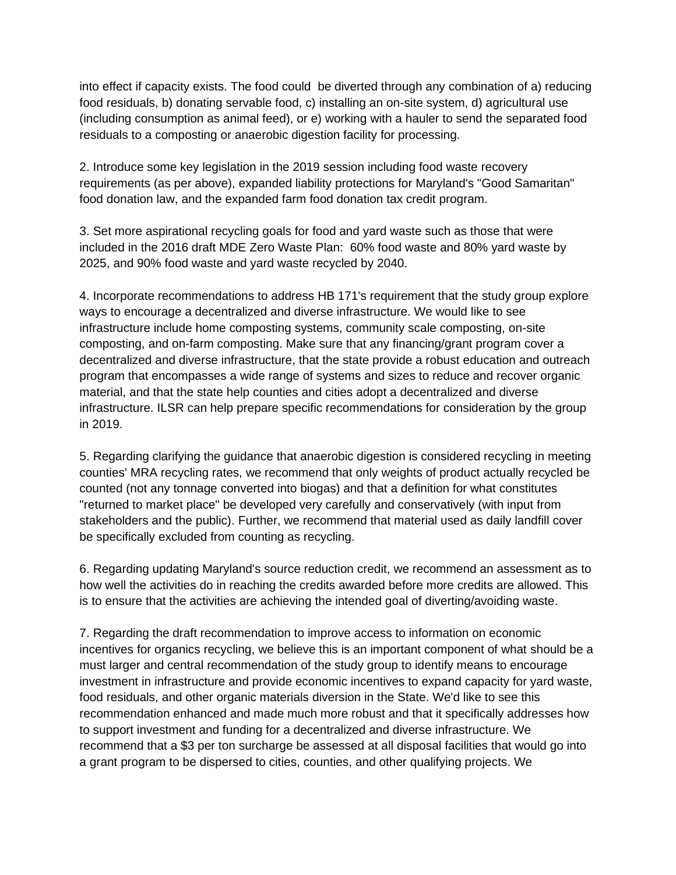into effect if capacity exists. The food could be diverted through any combination of a) reducing food residuals, b) donating servable food, c) installing an on-site system, d) agricultural use (including consumption as animal feed), or e) working with a hauler to send the separated food residuals to a composting or anaerobic digestion facility for processing.

2. Introduce some key legislation in the 2019 session including food waste recovery requirements (as per above), expanded liability protections for Maryland's "Good Samaritan" food donation law, and the expanded farm food donation tax credit program.

3. Set more aspirational recycling goals for food and yard waste such as those that were included in the 2016 draft MDE Zero Waste Plan: 60% food waste and 80% yard waste by 2025, and 90% food waste and yard waste recycled by 2040.

4. Incorporate recommendations to address HB 171's requirement that the study group explore ways to encourage a decentralized and diverse infrastructure. We would like to see infrastructure include home composting systems, community scale composting, on-site composting, and on-farm composting. Make sure that any financing/grant program cover a decentralized and diverse infrastructure, that the state provide a robust education and outreach program that encompasses a wide range of systems and sizes to reduce and recover organic material, and that the state help counties and cities adopt a decentralized and diverse infrastructure. ILSR can help prepare specific recommendations for consideration by the group in 2019.

5. Regarding clarifying the guidance that anaerobic digestion is considered recycling in meeting counties' MRA recycling rates, we recommend that only weights of product actually recycled be counted (not any tonnage converted into biogas) and that a definition for what constitutes "returned to market place" be developed very carefully and conservatively (with input from stakeholders and the public). Further, we recommend that material used as daily landfill cover be specifically excluded from counting as recycling.

6. Regarding updating Maryland's source reduction credit, we recommend an assessment as to how well the activities do in reaching the credits awarded before more credits are allowed. This is to ensure that the activities are achieving the intended goal of diverting/avoiding waste.

7. Regarding the draft recommendation to improve access to information on economic incentives for organics recycling, we believe this is an important component of what should be a must larger and central recommendation of the study group to identify means to encourage investment in infrastructure and provide economic incentives to expand capacity for yard waste, food residuals, and other organic materials diversion in the State. We'd like to see this recommendation enhanced and made much more robust and that it specifically addresses how to support investment and funding for a decentralized and diverse infrastructure. We recommend that a \$3 per ton surcharge be assessed at all disposal facilities that would go into a grant program to be dispersed to cities, counties, and other qualifying projects. We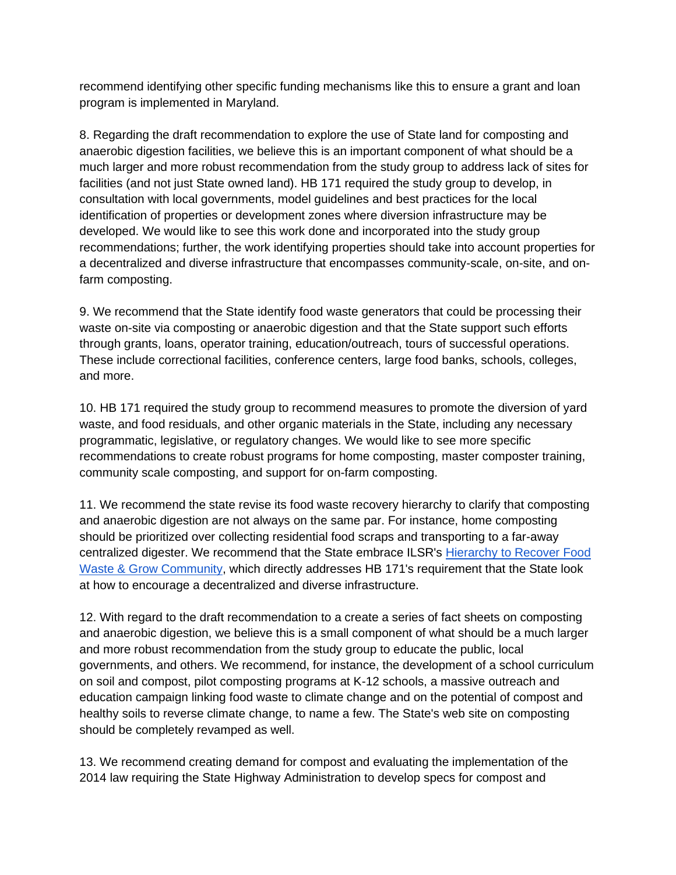recommend identifying other specific funding mechanisms like this to ensure a grant and loan program is implemented in Maryland.

8. Regarding the draft recommendation to explore the use of State land for composting and anaerobic digestion facilities, we believe this is an important component of what should be a much larger and more robust recommendation from the study group to address lack of sites for facilities (and not just State owned land). HB 171 required the study group to develop, in consultation with local governments, model guidelines and best practices for the local identification of properties or development zones where diversion infrastructure may be developed. We would like to see this work done and incorporated into the study group recommendations; further, the work identifying properties should take into account properties for a decentralized and diverse infrastructure that encompasses community-scale, on-site, and onfarm composting.

9. We recommend that the State identify food waste generators that could be processing their waste on-site via composting or anaerobic digestion and that the State support such efforts through grants, loans, operator training, education/outreach, tours of successful operations. These include correctional facilities, conference centers, large food banks, schools, colleges, and more.

10. HB 171 required the study group to recommend measures to promote the diversion of yard waste, and food residuals, and other organic materials in the State, including any necessary programmatic, legislative, or regulatory changes. We would like to see more specific recommendations to create robust programs for home composting, master composter training, community scale composting, and support for on-farm composting.

11. We recommend the state revise its food waste recovery hierarchy to clarify that composting and anaerobic digestion are not always on the same par. For instance, home composting should be prioritized over collecting residential food scraps and transporting to a far-away centralized dige[s](https://ilsr.org/food-waste-hierarchy/)ter. We recommend that the State embrace ILSR's Hierarchy to Recover Food [Waste & Grow Community,](https://ilsr.org/food-waste-hierarchy/) which directly addresses HB 171's requirement that the State look at how to encourage a decentralized and diverse infrastructure.

12. With regard to the draft recommendation to a create a series of fact sheets on composting and anaerobic digestion, we believe this is a small component of what should be a much larger and more robust recommendation from the study group to educate the public, local governments, and others. We recommend, for instance, the development of a school curriculum on soil and compost, pilot composting programs at K-12 schools, a massive outreach and education campaign linking food waste to climate change and on the potential of compost and healthy soils to reverse climate change, to name a few. The State's web site on composting should be completely revamped as well.

13. We recommend creating demand for compost and evaluating the implementation of the 2014 law requiring the State Highway Administration to develop specs for compost and